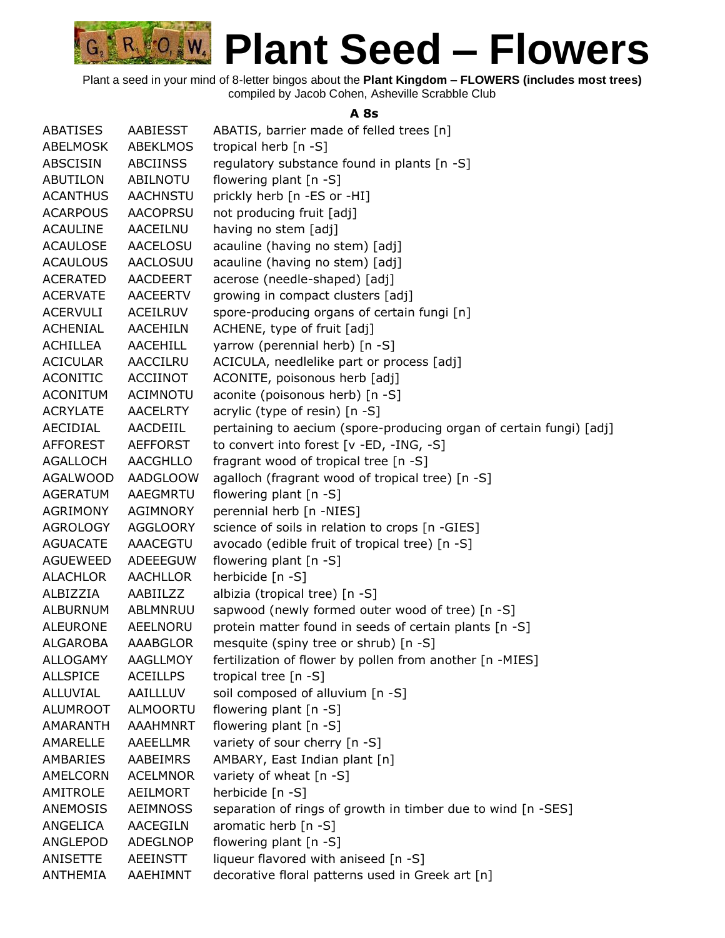

Plant a seed in your mind of 8-letter bingos about the **Plant Kingdom – FLOWERS (includes most trees)** compiled by Jacob Cohen, Asheville Scrabble Club

#### **A 8s**

| <b>ABATISES</b> | AABIESST        | ABATIS, barrier made of felled trees [n]                            |
|-----------------|-----------------|---------------------------------------------------------------------|
| ABELMOSK        | <b>ABEKLMOS</b> | tropical herb [n -S]                                                |
| <b>ABSCISIN</b> | <b>ABCIINSS</b> | regulatory substance found in plants [n -S]                         |
| <b>ABUTILON</b> | ABILNOTU        | flowering plant $[n -S]$                                            |
| <b>ACANTHUS</b> | <b>AACHNSTU</b> | prickly herb [n -ES or -HI]                                         |
| <b>ACARPOUS</b> | <b>AACOPRSU</b> | not producing fruit [adj]                                           |
| <b>ACAULINE</b> | AACEILNU        | having no stem [adj]                                                |
| <b>ACAULOSE</b> | <b>AACELOSU</b> | acauline (having no stem) [adj]                                     |
| <b>ACAULOUS</b> | <b>AACLOSUU</b> | acauline (having no stem) [adj]                                     |
| <b>ACERATED</b> | <b>AACDEERT</b> | acerose (needle-shaped) [adj]                                       |
| <b>ACERVATE</b> | <b>AACEERTV</b> | growing in compact clusters [adj]                                   |
| <b>ACERVULI</b> | <b>ACEILRUV</b> | spore-producing organs of certain fungi [n]                         |
| <b>ACHENIAL</b> | AACEHILN        | ACHENE, type of fruit [adj]                                         |
| ACHILLEA        | AACEHILL        | yarrow (perennial herb) [n -S]                                      |
| <b>ACICULAR</b> | AACCILRU        | ACICULA, needlelike part or process [adj]                           |
| <b>ACONITIC</b> | <b>ACCIINOT</b> | ACONITE, poisonous herb [adj]                                       |
| <b>ACONITUM</b> | <b>ACIMNOTU</b> | aconite (poisonous herb) [n -S]                                     |
| <b>ACRYLATE</b> | <b>AACELRTY</b> | acrylic (type of resin) [n -S]                                      |
| AECIDIAL        | AACDEIIL        | pertaining to aecium (spore-producing organ of certain fungi) [adj] |
| <b>AFFOREST</b> | <b>AEFFORST</b> | to convert into forest [v -ED, -ING, -S]                            |
| <b>AGALLOCH</b> | <b>AACGHLLO</b> | fragrant wood of tropical tree [n -S]                               |
| <b>AGALWOOD</b> | <b>AADGLOOW</b> | agalloch (fragrant wood of tropical tree) [n -S]                    |
| <b>AGERATUM</b> | AAEGMRTU        | flowering plant [n -S]                                              |
| <b>AGRIMONY</b> | AGIMNORY        | perennial herb [n -NIES]                                            |
| <b>AGROLOGY</b> | <b>AGGLOORY</b> | science of soils in relation to crops [n -GIES]                     |
| <b>AGUACATE</b> | AAACEGTU        | avocado (edible fruit of tropical tree) [n -S]                      |
| <b>AGUEWEED</b> | ADEEEGUW        | flowering plant [n -S]                                              |
| <b>ALACHLOR</b> | <b>AACHLLOR</b> | herbicide [n -S]                                                    |
| ALBIZZIA        | AABIILZZ        | albizia (tropical tree) [n -S]                                      |
| <b>ALBURNUM</b> | ABLMNRUU        | sapwood (newly formed outer wood of tree) [n -S]                    |
| <b>ALEURONE</b> | AEELNORU        | protein matter found in seeds of certain plants [n -S]              |
| <b>ALGAROBA</b> | <b>AAABGLOR</b> | mesquite (spiny tree or shrub) [n -S]                               |
| <b>ALLOGAMY</b> | AAGLLMOY        | fertilization of flower by pollen from another [n -MIES]            |
| <b>ALLSPICE</b> | <b>ACEILLPS</b> | tropical tree [n -S]                                                |
| ALLUVIAL        | AAILLLUV        | soil composed of alluvium [n -S]                                    |
| <b>ALUMROOT</b> | <b>ALMOORTU</b> | flowering plant [n -S]                                              |
| <b>AMARANTH</b> | <b>AAAHMNRT</b> | flowering plant [n -S]                                              |
| AMARELLE        | AAEELLMR        | variety of sour cherry [n -S]                                       |
| AMBARIES        | AABEIMRS        | AMBARY, East Indian plant [n]                                       |
| AMELCORN        | <b>ACELMNOR</b> | variety of wheat [n -S]                                             |
| AMITROLE        | AEILMORT        | herbicide [n -S]                                                    |
| ANEMOSIS        | <b>AEIMNOSS</b> | separation of rings of growth in timber due to wind [n -SES]        |
| ANGELICA        | <b>AACEGILN</b> | aromatic herb $[n -S]$                                              |
| ANGLEPOD        | ADEGLNOP        | flowering plant [n -S]                                              |
| ANISETTE        | <b>AEEINSTT</b> | liqueur flavored with aniseed [n -S]                                |
| ANTHEMIA        | AAEHIMNT        | decorative floral patterns used in Greek art [n]                    |
|                 |                 |                                                                     |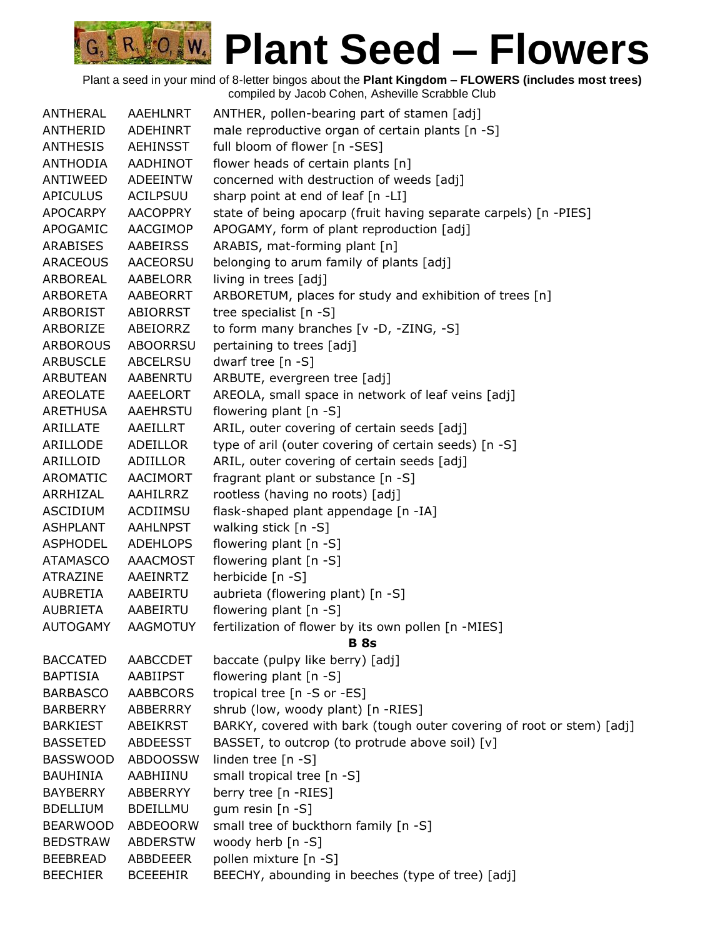| <b>ANTHERAL</b> | <b>AAEHLNRT</b> | ANTHER, pollen-bearing part of stamen [adj]                           |
|-----------------|-----------------|-----------------------------------------------------------------------|
| ANTHERID        | <b>ADEHINRT</b> | male reproductive organ of certain plants [n -S]                      |
| <b>ANTHESIS</b> | <b>AEHINSST</b> | full bloom of flower [n -SES]                                         |
| <b>ANTHODIA</b> | <b>AADHINOT</b> | flower heads of certain plants [n]                                    |
| ANTIWEED        | <b>ADEEINTW</b> | concerned with destruction of weeds [adj]                             |
| <b>APICULUS</b> | <b>ACILPSUU</b> | sharp point at end of leaf [n -LI]                                    |
| APOCARPY        | <b>AACOPPRY</b> | state of being apocarp (fruit having separate carpels) [n -PIES]      |
| APOGAMIC        | AACGIMOP        | APOGAMY, form of plant reproduction [adj]                             |
| ARABISES        | <b>AABEIRSS</b> | ARABIS, mat-forming plant [n]                                         |
| <b>ARACEOUS</b> | <b>AACEORSU</b> | belonging to arum family of plants [adj]                              |
| ARBOREAL        | AABELORR        | living in trees [adj]                                                 |
| ARBORETA        | AABEORRT        | ARBORETUM, places for study and exhibition of trees [n]               |
| ARBORIST        | <b>ABIORRST</b> | tree specialist [n -S]                                                |
| ARBORIZE        | ABEIORRZ        | to form many branches $[v -D, -ZING, -S]$                             |
| <b>ARBOROUS</b> | <b>ABOORRSU</b> | pertaining to trees [adj]                                             |
| <b>ARBUSCLE</b> | ABCELRSU        | dwarf tree [n -S]                                                     |
| ARBUTEAN        | AABENRTU        | ARBUTE, evergreen tree [adj]                                          |
| AREOLATE        | AAEELORT        | AREOLA, small space in network of leaf veins [adj]                    |
| ARETHUSA        | AAEHRSTU        | flowering plant [n -S]                                                |
| ARILLATE        | AAEILLRT        | ARIL, outer covering of certain seeds [adj]                           |
| ARILLODE        | ADEILLOR        | type of aril (outer covering of certain seeds) [n -S]                 |
| ARILLOID        | ADIILLOR        | ARIL, outer covering of certain seeds [adj]                           |
| AROMATIC        | <b>AACIMORT</b> | fragrant plant or substance [n -S]                                    |
| ARRHIZAL        | AAHILRRZ        | rootless (having no roots) [adj]                                      |
| <b>ASCIDIUM</b> | ACDIIMSU        | flask-shaped plant appendage [n -IA]                                  |
| <b>ASHPLANT</b> | <b>AAHLNPST</b> | walking stick [n -S]                                                  |
| ASPHODEL        | <b>ADEHLOPS</b> | flowering plant [n -S]                                                |
| <b>ATAMASCO</b> | <b>AAACMOST</b> | flowering plant [n -S]                                                |
| ATRAZINE        | AAEINRTZ        | herbicide [n -S]                                                      |
| AUBRETIA        | AABEIRTU        | aubrieta (flowering plant) [n -S]                                     |
| <b>AUBRIETA</b> | AABEIRTU        | flowering plant [n -S]                                                |
| <b>AUTOGAMY</b> | <b>AAGMOTUY</b> | fertilization of flower by its own pollen [n -MIES]                   |
|                 |                 | <b>B</b> 8s                                                           |
| <b>BACCATED</b> | <b>AABCCDET</b> | baccate (pulpy like berry) [adj]                                      |
| <b>BAPTISIA</b> | <b>AABIIPST</b> | flowering plant [n -S]                                                |
| <b>BARBASCO</b> | <b>AABBCORS</b> | tropical tree [n -S or -ES]                                           |
| <b>BARBERRY</b> | <b>ABBERRRY</b> | shrub (low, woody plant) [n -RIES]                                    |
| <b>BARKIEST</b> | <b>ABEIKRST</b> | BARKY, covered with bark (tough outer covering of root or stem) [adj] |
| <b>BASSETED</b> | <b>ABDEESST</b> | BASSET, to outcrop (to protrude above soil) [v]                       |
| <b>BASSWOOD</b> | <b>ABDOOSSW</b> | linden tree [n -S]                                                    |
| <b>BAUHINIA</b> | AABHIINU        | small tropical tree [n -S]                                            |
| <b>BAYBERRY</b> | ABBERRYY        | berry tree [n -RIES]                                                  |
| <b>BDELLIUM</b> | <b>BDEILLMU</b> | gum resin [n -S]                                                      |
| <b>BEARWOOD</b> | ABDEOORW        | small tree of buckthorn family [n -S]                                 |
| <b>BEDSTRAW</b> | <b>ABDERSTW</b> | woody herb [n -S]                                                     |
| <b>BEEBREAD</b> | ABBDEEER        | pollen mixture [n -S]                                                 |
| <b>BEECHIER</b> | <b>BCEEEHIR</b> | BEECHY, abounding in beeches (type of tree) [adj]                     |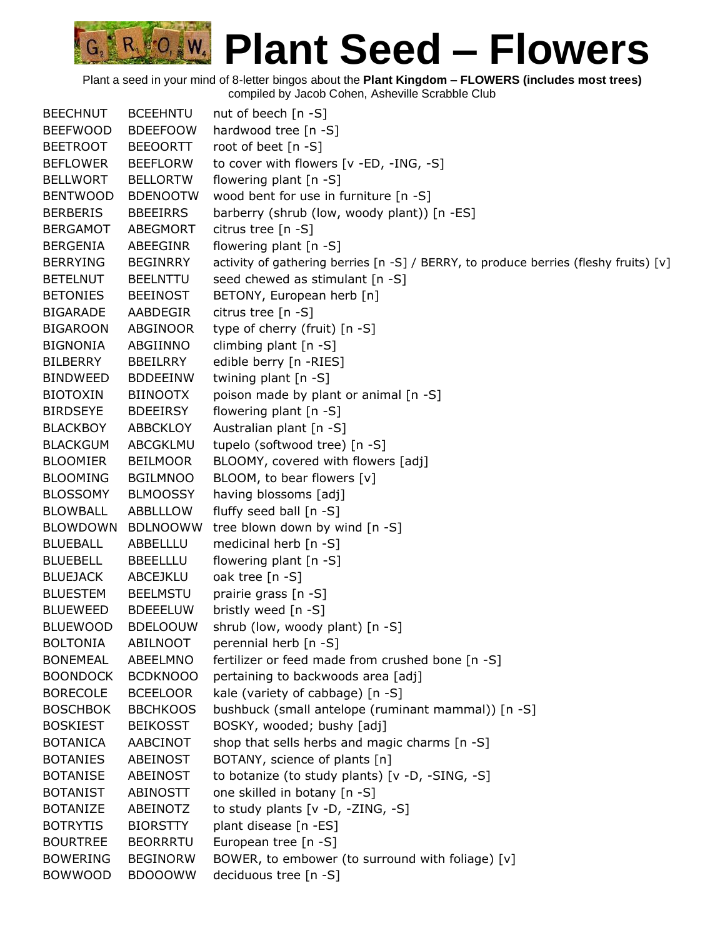| <b>BEECHNUT</b> | <b>BCEEHNTU</b> | nut of beech [n -S]                                                                  |
|-----------------|-----------------|--------------------------------------------------------------------------------------|
| <b>BEEFWOOD</b> | <b>BDEEFOOW</b> | hardwood tree [n -S]                                                                 |
| <b>BEETROOT</b> | <b>BEEOORTT</b> | root of beet [n -S]                                                                  |
| <b>BEFLOWER</b> | <b>BEEFLORW</b> | to cover with flowers [v -ED, -ING, -S]                                              |
| <b>BELLWORT</b> | <b>BELLORTW</b> | flowering plant [n -S]                                                               |
| <b>BENTWOOD</b> | <b>BDENOOTW</b> | wood bent for use in furniture [n -S]                                                |
| <b>BERBERIS</b> | <b>BBEEIRRS</b> | barberry (shrub (low, woody plant)) [n -ES]                                          |
| <b>BERGAMOT</b> | ABEGMORT        | citrus tree [n -S]                                                                   |
| <b>BERGENIA</b> | ABEEGINR        | flowering plant [n -S]                                                               |
| <b>BERRYING</b> | <b>BEGINRRY</b> | activity of gathering berries [n -S] / BERRY, to produce berries (fleshy fruits) [v] |
| <b>BETELNUT</b> | <b>BEELNTTU</b> | seed chewed as stimulant [n -S]                                                      |
| <b>BETONIES</b> | <b>BEEINOST</b> | BETONY, European herb [n]                                                            |
| <b>BIGARADE</b> | AABDEGIR        | citrus tree [n -S]                                                                   |
| <b>BIGAROON</b> | ABGINOOR        | type of cherry (fruit) [n -S]                                                        |
| <b>BIGNONIA</b> | ABGIINNO        | climbing plant $[n - S]$                                                             |
| <b>BILBERRY</b> | <b>BBEILRRY</b> | edible berry [n -RIES]                                                               |
| <b>BINDWEED</b> | <b>BDDEEINW</b> | twining plant [n -S]                                                                 |
| <b>BIOTOXIN</b> | <b>BIINOOTX</b> | poison made by plant or animal [n -S]                                                |
| <b>BIRDSEYE</b> | <b>BDEEIRSY</b> | flowering plant $[n -S]$                                                             |
| <b>BLACKBOY</b> | <b>ABBCKLOY</b> | Australian plant [n -S]                                                              |
| <b>BLACKGUM</b> | ABCGKLMU        | tupelo (softwood tree) [n -S]                                                        |
| <b>BLOOMIER</b> | <b>BEILMOOR</b> | BLOOMY, covered with flowers [adj]                                                   |
| <b>BLOOMING</b> | <b>BGILMNOO</b> | BLOOM, to bear flowers [v]                                                           |
| <b>BLOSSOMY</b> | <b>BLMOOSSY</b> | having blossoms [adj]                                                                |
| <b>BLOWBALL</b> | ABBLLLOW        | fluffy seed ball $[n -S]$                                                            |
| <b>BLOWDOWN</b> | <b>BDLNOOWW</b> | tree blown down by wind [n -S]                                                       |
| <b>BLUEBALL</b> | ABBELLLU        | medicinal herb [n -S]                                                                |
| <b>BLUEBELL</b> | <b>BBEELLLU</b> | flowering plant [n -S]                                                               |
| <b>BLUEJACK</b> | ABCEJKLU        | oak tree [n -S]                                                                      |
| <b>BLUESTEM</b> | <b>BEELMSTU</b> | prairie grass [n -S]                                                                 |
| <b>BLUEWEED</b> | <b>BDEEELUW</b> | bristly weed [n -S]                                                                  |
| <b>BLUEWOOD</b> | <b>BDELOOUW</b> | shrub (low, woody plant) [n -S]                                                      |
| <b>BOLTONIA</b> | <b>ABILNOOT</b> | perennial herb [n -S]                                                                |
| <b>BONEMEAL</b> | ABEELMNO        | fertilizer or feed made from crushed bone [n -S]                                     |
| <b>BOONDOCK</b> | <b>BCDKNOOO</b> | pertaining to backwoods area [adj]                                                   |
| <b>BORECOLE</b> | <b>BCEELOOR</b> | kale (variety of cabbage) [n -S]                                                     |
| <b>BOSCHBOK</b> | <b>BBCHKOOS</b> | bushbuck (small antelope (ruminant mammal)) [n -S]                                   |
| <b>BOSKIEST</b> | <b>BEIKOSST</b> | BOSKY, wooded; bushy [adj]                                                           |
| <b>BOTANICA</b> | AABCINOT        | shop that sells herbs and magic charms [n -S]                                        |
| <b>BOTANIES</b> | ABEINOST        | BOTANY, science of plants [n]                                                        |
| <b>BOTANISE</b> | ABEINOST        | to botanize (to study plants) [v -D, -SING, -S]                                      |
| <b>BOTANIST</b> | <b>ABINOSTT</b> | one skilled in botany [n -S]                                                         |
| <b>BOTANIZE</b> | ABEINOTZ        | to study plants [v -D, -ZING, -S]                                                    |
| <b>BOTRYTIS</b> | <b>BIORSTTY</b> | plant disease [n -ES]                                                                |
| <b>BOURTREE</b> | <b>BEORRRTU</b> | European tree [n -S]                                                                 |
| <b>BOWERING</b> | <b>BEGINORW</b> | BOWER, to embower (to surround with foliage) [v]                                     |
| <b>BOWWOOD</b>  | <b>BDOOOWW</b>  | deciduous tree [n -S]                                                                |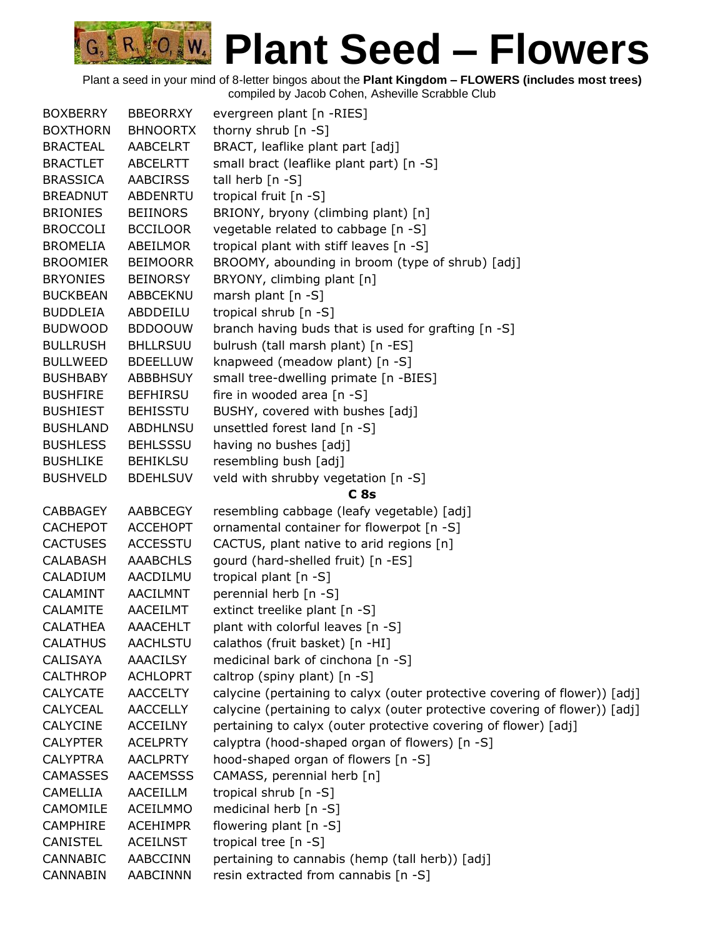| <b>BOXBERRY</b> | <b>BBEORRXY</b> | evergreen plant [n -RIES]                                                  |
|-----------------|-----------------|----------------------------------------------------------------------------|
| <b>BOXTHORN</b> | <b>BHNOORTX</b> | thorny shrub $[n -S]$                                                      |
| <b>BRACTEAL</b> | AABCELRT        | BRACT, leaflike plant part [adj]                                           |
| <b>BRACTLET</b> | ABCELRTT        | small bract (leaflike plant part) [n -S]                                   |
| <b>BRASSICA</b> | <b>AABCIRSS</b> | tall herb [n -S]                                                           |
| <b>BREADNUT</b> | ABDENRTU        | tropical fruit [n -S]                                                      |
| <b>BRIONIES</b> | <b>BEIINORS</b> | BRIONY, bryony (climbing plant) [n]                                        |
| <b>BROCCOLI</b> | <b>BCCILOOR</b> | vegetable related to cabbage [n -S]                                        |
| <b>BROMELIA</b> | ABEILMOR        | tropical plant with stiff leaves [n -S]                                    |
| <b>BROOMIER</b> | <b>BEIMOORR</b> | BROOMY, abounding in broom (type of shrub) [adj]                           |
| <b>BRYONIES</b> | <b>BEINORSY</b> | BRYONY, climbing plant [n]                                                 |
| <b>BUCKBEAN</b> | ABBCEKNU        | marsh plant [n -S]                                                         |
| <b>BUDDLEIA</b> | ABDDEILU        | tropical shrub [n -S]                                                      |
| <b>BUDWOOD</b>  | <b>BDDOOUW</b>  | branch having buds that is used for grafting [n -S]                        |
| <b>BULLRUSH</b> | <b>BHLLRSUU</b> | bulrush (tall marsh plant) [n -ES]                                         |
| <b>BULLWEED</b> | <b>BDEELLUW</b> | knapweed (meadow plant) [n -S]                                             |
| <b>BUSHBABY</b> | <b>ABBBHSUY</b> | small tree-dwelling primate [n -BIES]                                      |
| <b>BUSHFIRE</b> | <b>BEFHIRSU</b> | fire in wooded area [n -S]                                                 |
| <b>BUSHIEST</b> | <b>BEHISSTU</b> | BUSHY, covered with bushes [adj]                                           |
| <b>BUSHLAND</b> | <b>ABDHLNSU</b> | unsettled forest land [n -S]                                               |
| <b>BUSHLESS</b> | <b>BEHLSSSU</b> | having no bushes [adj]                                                     |
| <b>BUSHLIKE</b> | <b>BEHIKLSU</b> | resembling bush [adj]                                                      |
| <b>BUSHVELD</b> | <b>BDEHLSUV</b> | veld with shrubby vegetation [n -S]                                        |
|                 |                 | C <sub>8s</sub>                                                            |
| <b>CABBAGEY</b> | AABBCEGY        | resembling cabbage (leafy vegetable) [adj]                                 |
| <b>CACHEPOT</b> | <b>ACCEHOPT</b> | ornamental container for flowerpot [n -S]                                  |
| <b>CACTUSES</b> | <b>ACCESSTU</b> | CACTUS, plant native to arid regions [n]                                   |
| <b>CALABASH</b> | <b>AAABCHLS</b> | gourd (hard-shelled fruit) [n -ES]                                         |
| CALADIUM        | AACDILMU        | tropical plant $[n - S]$                                                   |
| CALAMINT        | AACILMNT        | perennial herb [n -S]                                                      |
| CALAMITE        | AACEILMT        | extinct treelike plant [n -S]                                              |
| <b>CALATHEA</b> | <b>AAACEHLT</b> | plant with colorful leaves [n -S]                                          |
| <b>CALATHUS</b> | AACHLSTU        | calathos (fruit basket) [n -HI]                                            |
| <b>CALISAYA</b> | <b>AAACILSY</b> | medicinal bark of cinchona [n -S]                                          |
| <b>CALTHROP</b> | <b>ACHLOPRT</b> | caltrop (spiny plant) [n -S]                                               |
| <b>CALYCATE</b> | <b>AACCELTY</b> | calycine (pertaining to calyx (outer protective covering of flower)) [adj] |
| <b>CALYCEAL</b> | <b>AACCELLY</b> | calycine (pertaining to calyx (outer protective covering of flower)) [adj] |
| <b>CALYCINE</b> | <b>ACCEILNY</b> | pertaining to calyx (outer protective covering of flower) [adj]            |
| <b>CALYPTER</b> | <b>ACELPRTY</b> | calyptra (hood-shaped organ of flowers) [n -S]                             |
| <b>CALYPTRA</b> | <b>AACLPRTY</b> | hood-shaped organ of flowers [n -S]                                        |
| <b>CAMASSES</b> | <b>AACEMSSS</b> | CAMASS, perennial herb [n]                                                 |
| <b>CAMELLIA</b> | AACEILLM        | tropical shrub [n -S]                                                      |
| CAMOMILE        | <b>ACEILMMO</b> | medicinal herb [n -S]                                                      |
| <b>CAMPHIRE</b> | <b>ACEHIMPR</b> | flowering plant [n -S]                                                     |
| <b>CANISTEL</b> | <b>ACEILNST</b> | tropical tree [n -S]                                                       |
| <b>CANNABIC</b> | AABCCINN        | pertaining to cannabis (hemp (tall herb)) [adj]                            |
| <b>CANNABIN</b> | <b>AABCINNN</b> | resin extracted from cannabis [n -S]                                       |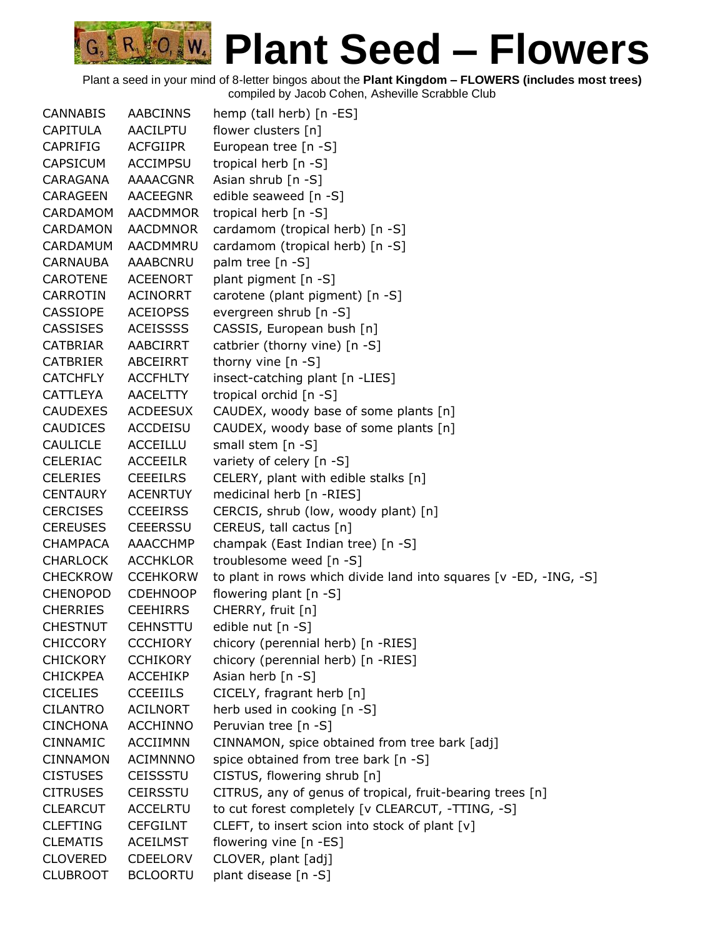

| <b>CANNABIS</b> | <b>AABCINNS</b> | hemp (tall herb) [n -ES]                                          |
|-----------------|-----------------|-------------------------------------------------------------------|
| <b>CAPITULA</b> | <b>AACILPTU</b> | flower clusters [n]                                               |
| CAPRIFIG        | <b>ACFGIIPR</b> | European tree [n -S]                                              |
| <b>CAPSICUM</b> | <b>ACCIMPSU</b> | tropical herb [n -S]                                              |
| CARAGANA        | <b>AAAACGNR</b> | Asian shrub $[n -S]$                                              |
| <b>CARAGEEN</b> | <b>AACEEGNR</b> | edible seaweed [n -S]                                             |
| <b>CARDAMOM</b> | <b>AACDMMOR</b> | tropical herb [n -S]                                              |
| <b>CARDAMON</b> | <b>AACDMNOR</b> | cardamom (tropical herb) [n -S]                                   |
| CARDAMUM        | AACDMMRU        | cardamom (tropical herb) [n -S]                                   |
| <b>CARNAUBA</b> | <b>AAABCNRU</b> | palm tree [n -S]                                                  |
| <b>CAROTENE</b> | <b>ACEENORT</b> | plant pigment [n -S]                                              |
| <b>CARROTIN</b> | <b>ACINORRT</b> | carotene (plant pigment) [n -S]                                   |
| <b>CASSIOPE</b> | <b>ACEIOPSS</b> | evergreen shrub [n -S]                                            |
| <b>CASSISES</b> | <b>ACEISSSS</b> | CASSIS, European bush [n]                                         |
| <b>CATBRIAR</b> | AABCIRRT        | catbrier (thorny vine) [n -S]                                     |
| <b>CATBRIER</b> | <b>ABCEIRRT</b> | thorny vine $[n - S]$                                             |
| <b>CATCHFLY</b> | <b>ACCFHLTY</b> | insect-catching plant [n -LIES]                                   |
| <b>CATTLEYA</b> | <b>AACELTTY</b> | tropical orchid [n -S]                                            |
| <b>CAUDEXES</b> | <b>ACDEESUX</b> | CAUDEX, woody base of some plants [n]                             |
| <b>CAUDICES</b> | <b>ACCDEISU</b> | CAUDEX, woody base of some plants [n]                             |
| <b>CAULICLE</b> | ACCEILLU        | small stem [n -S]                                                 |
| <b>CELERIAC</b> | <b>ACCEEILR</b> | variety of celery [n -S]                                          |
| <b>CELERIES</b> | <b>CEEEILRS</b> | CELERY, plant with edible stalks [n]                              |
| <b>CENTAURY</b> | <b>ACENRTUY</b> | medicinal herb [n -RIES]                                          |
| <b>CERCISES</b> | <b>CCEEIRSS</b> | CERCIS, shrub (low, woody plant) [n]                              |
| <b>CEREUSES</b> | <b>CEEERSSU</b> | CEREUS, tall cactus [n]                                           |
| <b>CHAMPACA</b> | AAACCHMP        | champak (East Indian tree) [n -S]                                 |
| <b>CHARLOCK</b> | <b>ACCHKLOR</b> | troublesome weed [n -S]                                           |
| <b>CHECKROW</b> | <b>CCEHKORW</b> | to plant in rows which divide land into squares [v -ED, -ING, -S] |
| <b>CHENOPOD</b> | <b>CDEHNOOP</b> | flowering plant [n -S]                                            |
| <b>CHERRIES</b> | <b>CEEHIRRS</b> | CHERRY, fruit [n]                                                 |
| <b>CHESTNUT</b> | <b>CEHNSTTU</b> | edible nut [n -S]                                                 |
| <b>CHICCORY</b> | <b>CCCHIORY</b> | chicory (perennial herb) [n -RIES]                                |
| <b>CHICKORY</b> | <b>CCHIKORY</b> | chicory (perennial herb) [n -RIES]                                |
| <b>CHICKPEA</b> | <b>ACCEHIKP</b> | Asian herb $[n - S]$                                              |
| <b>CICELIES</b> | <b>CCEEIILS</b> | CICELY, fragrant herb [n]                                         |
| <b>CILANTRO</b> | <b>ACILNORT</b> | herb used in cooking [n -S]                                       |
| <b>CINCHONA</b> | <b>ACCHINNO</b> | Peruvian tree [n -S]                                              |
| <b>CINNAMIC</b> | <b>ACCIIMNN</b> | CINNAMON, spice obtained from tree bark [adj]                     |
| <b>CINNAMON</b> | <b>ACIMNNNO</b> | spice obtained from tree bark [n -S]                              |
| <b>CISTUSES</b> | <b>CEISSSTU</b> | CISTUS, flowering shrub [n]                                       |
| <b>CITRUSES</b> | <b>CEIRSSTU</b> | CITRUS, any of genus of tropical, fruit-bearing trees [n]         |
| <b>CLEARCUT</b> | <b>ACCELRTU</b> | to cut forest completely [v CLEARCUT, -TTING, -S]                 |
| <b>CLEFTING</b> | <b>CEFGILNT</b> | CLEFT, to insert scion into stock of plant [v]                    |
| <b>CLEMATIS</b> | <b>ACEILMST</b> | flowering vine [n -ES]                                            |
| <b>CLOVERED</b> | <b>CDEELORV</b> | CLOVER, plant [adj]                                               |
| <b>CLUBROOT</b> | <b>BCLOORTU</b> | plant disease [n -S]                                              |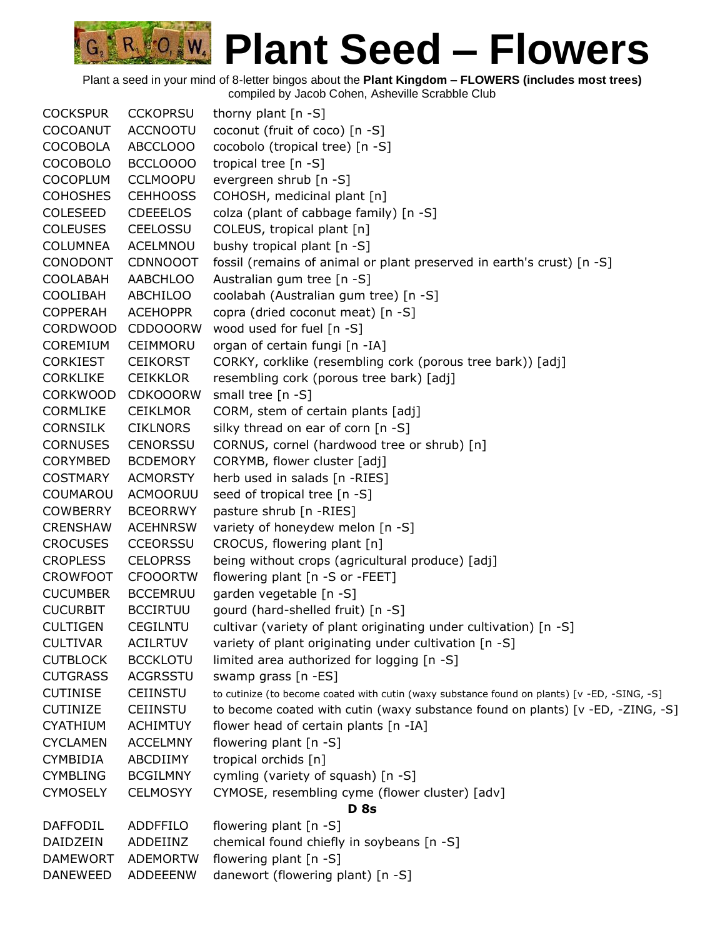Plant a seed in your mind of 8-letter bingos about the **Plant Kingdom – FLOWERS (includes most trees)** compiled by Jacob Cohen, Asheville Scrabble Club

COCKSPUR CCKOPRSU thorny plant [n -S] COCOANUT ACCNOOTU coconut (fruit of coco) [n -S] COCOBOLA ABCCLOOO cocobolo (tropical tree) [n -S] COCOBOLO BCCLOOOO tropical tree [n -S] COCOPLUM CCLMOOPU evergreen shrub [n -S] COHOSHES CEHHOOSS COHOSH, medicinal plant [n] COLESEED CDEEELOS colza (plant of cabbage family) [n -S] COLEUSES CEELOSSU COLEUS, tropical plant [n] COLUMNEA ACELMNOU bushy tropical plant [n -S] CONODONT CDNNOOOT fossil (remains of animal or plant preserved in earth's crust) [n -S] COOLABAH AABCHLOO Australian gum tree [n -S] COOLIBAH ABCHILOO coolabah (Australian gum tree) [n -S] COPPERAH ACEHOPPR copra (dried coconut meat) [n -S] CORDWOOD CDDOOORW wood used for fuel [n -S] COREMIUM CEIMMORU organ of certain fungi [n -IA] CORKIEST CEIKORST CORKY, corklike (resembling cork (porous tree bark)) [adj] CORKLIKE CEIKKLOR resembling cork (porous tree bark) [adj] CORKWOOD CDKOOORW small tree [n -S] CORMLIKE CEIKLMOR CORM, stem of certain plants [adj] CORNSILK CIKLNORS silky thread on ear of corn [n -S] CORNUSES CENORSSU CORNUS, cornel (hardwood tree or shrub) [n] CORYMBED BCDEMORY CORYMB, flower cluster [adj] COSTMARY ACMORSTY herb used in salads [n -RIES] COUMAROU ACMOORUU seed of tropical tree [n -S] COWBERRY BCEORRWY pasture shrub [n -RIES] CRENSHAW ACEHNRSW variety of honeydew melon [n -S] CROCUSES CCEORSSU CROCUS, flowering plant [n] CROPLESS CELOPRSS being without crops (agricultural produce) [adj] CROWFOOT CFOOORTW flowering plant [n -S or -FEET] CUCUMBER BCCEMRUU garden vegetable [n -S] CUCURBIT BCCIRTUU gourd (hard-shelled fruit) [n -S] CULTIGEN CEGILNTU cultivar (variety of plant originating under cultivation) [n -S] CULTIVAR ACILRTUV variety of plant originating under cultivation [n -S] CUTBLOCK BCCKLOTU limited area authorized for logging [n -S] CUTGRASS ACGRSSTU swamp grass [n -ES] CUTINISE CEIINSTU to cutinize (to become coated with cutin (waxy substance found on plants) [v -ED, -SING, -S] CUTINIZE CEIINSTU to become coated with cutin (waxy substance found on plants) [v -ED, -ZING, -S] CYATHIUM ACHIMTUY flower head of certain plants [n -IA] CYCLAMEN ACCELMNY flowering plant [n -S] CYMBIDIA ABCDIIMY tropical orchids [n] CYMBLING BCGILMNY cymling (variety of squash) [n -S] CYMOSELY CELMOSYY CYMOSE, resembling cyme (flower cluster) [adv] **D 8s** DAFFODIL ADDFFILO flowering plant [n -S] DAIDZEIN ADDEIINZ chemical found chiefly in soybeans [n -S] DAMEWORT ADEMORTW flowering plant [n -S] DANEWEED ADDEEENW danewort (flowering plant) [n -S]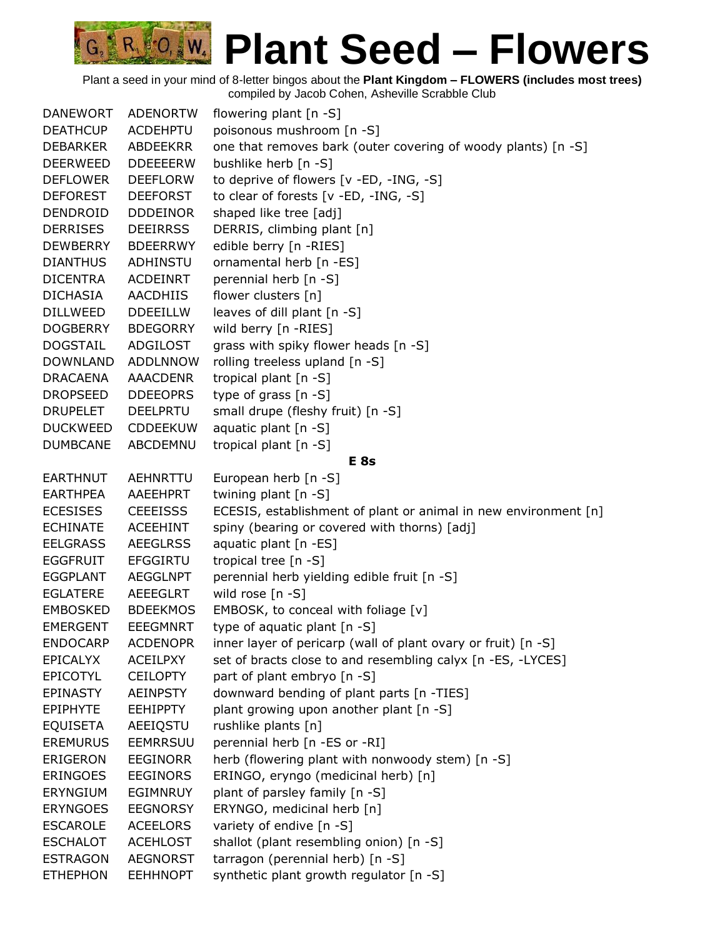| <b>DANEWORT</b> | <b>ADENORTW</b> | flowering plant [n -S]                                          |
|-----------------|-----------------|-----------------------------------------------------------------|
| <b>DEATHCUP</b> | <b>ACDEHPTU</b> | poisonous mushroom [n -S]                                       |
| <b>DEBARKER</b> | ABDEEKRR        | one that removes bark (outer covering of woody plants) [n -S]   |
| <b>DEERWEED</b> | <b>DDEEEERW</b> | bushlike herb [n -S]                                            |
| <b>DEFLOWER</b> | <b>DEEFLORW</b> | to deprive of flowers [v -ED, -ING, -S]                         |
| <b>DEFOREST</b> | <b>DEEFORST</b> | to clear of forests [v -ED, -ING, -S]                           |
| DENDROID        | <b>DDDEINOR</b> | shaped like tree [adj]                                          |
| <b>DERRISES</b> | <b>DEEIRRSS</b> | DERRIS, climbing plant [n]                                      |
| <b>DEWBERRY</b> | <b>BDEERRWY</b> | edible berry [n -RIES]                                          |
| <b>DIANTHUS</b> | ADHINSTU        | ornamental herb [n -ES]                                         |
| <b>DICENTRA</b> | <b>ACDEINRT</b> | perennial herb [n -S]                                           |
| <b>DICHASIA</b> | <b>AACDHIIS</b> | flower clusters [n]                                             |
| <b>DILLWEED</b> | <b>DDEEILLW</b> | leaves of dill plant [n -S]                                     |
| <b>DOGBERRY</b> | <b>BDEGORRY</b> | wild berry [n -RIES]                                            |
| <b>DOGSTAIL</b> | ADGILOST        | grass with spiky flower heads [n -S]                            |
| <b>DOWNLAND</b> | <b>ADDLNNOW</b> | rolling treeless upland [n -S]                                  |
| <b>DRACAENA</b> | AAACDENR        | tropical plant $[n -S]$                                         |
| <b>DROPSEED</b> | <b>DDEEOPRS</b> | type of grass [n -S]                                            |
| <b>DRUPELET</b> | <b>DEELPRTU</b> | small drupe (fleshy fruit) [n -S]                               |
| <b>DUCKWEED</b> | <b>CDDEEKUW</b> | aquatic plant [n -S]                                            |
| <b>DUMBCANE</b> | ABCDEMNU        | tropical plant $[n -S]$                                         |
|                 |                 | E <sub>8s</sub>                                                 |
| <b>EARTHNUT</b> | AEHNRTTU        | European herb [n -S]                                            |
| <b>EARTHPEA</b> | AAEEHPRT        | twining plant [n -S]                                            |
| <b>ECESISES</b> | <b>CEEEISSS</b> | ECESIS, establishment of plant or animal in new environment [n] |
| <b>ECHINATE</b> | <b>ACEEHINT</b> | spiny (bearing or covered with thorns) [adj]                    |
| <b>EELGRASS</b> | <b>AEEGLRSS</b> | aquatic plant [n -ES]                                           |
| <b>EGGFRUIT</b> | <b>EFGGIRTU</b> | tropical tree [n -S]                                            |
| <b>EGGPLANT</b> | AEGGLNPT        | perennial herb yielding edible fruit [n -S]                     |
| <b>EGLATERE</b> | AEEEGLRT        | wild rose [n -S]                                                |
| <b>EMBOSKED</b> | <b>BDEEKMOS</b> | EMBOSK, to conceal with foliage [v]                             |
| <b>EMERGENT</b> | <b>EEEGMNRT</b> | type of aquatic plant [n -S]                                    |
| <b>ENDOCARP</b> | <b>ACDENOPR</b> | inner layer of pericarp (wall of plant ovary or fruit) [n -S]   |
| <b>EPICALYX</b> | <b>ACEILPXY</b> | set of bracts close to and resembling calyx [n -ES, -LYCES]     |
| EPICOTYL        | <b>CEILOPTY</b> | part of plant embryo [n -S]                                     |
| <b>EPINASTY</b> | <b>AEINPSTY</b> | downward bending of plant parts [n -TIES]                       |
| <b>EPIPHYTE</b> | <b>EEHIPPTY</b> | plant growing upon another plant [n -S]                         |
| <b>EQUISETA</b> | AEEIQSTU        | rushlike plants [n]                                             |
| <b>EREMURUS</b> | EEMRRSUU        | perennial herb [n -ES or -RI]                                   |
| ERIGERON        | <b>EEGINORR</b> | herb (flowering plant with nonwoody stem) [n -S]                |
| <b>ERINGOES</b> | <b>EEGINORS</b> | ERINGO, eryngo (medicinal herb) [n]                             |
| <b>ERYNGIUM</b> | EGIMNRUY        | plant of parsley family [n -S]                                  |
| <b>ERYNGOES</b> | <b>EEGNORSY</b> | ERYNGO, medicinal herb [n]                                      |
| <b>ESCAROLE</b> | <b>ACEELORS</b> | variety of endive [n -S]                                        |
| <b>ESCHALOT</b> | <b>ACEHLOST</b> | shallot (plant resembling onion) [n -S]                         |
| <b>ESTRAGON</b> | <b>AEGNORST</b> | tarragon (perennial herb) [n -S]                                |
| <b>ETHEPHON</b> | <b>EEHHNOPT</b> | synthetic plant growth regulator [n -S]                         |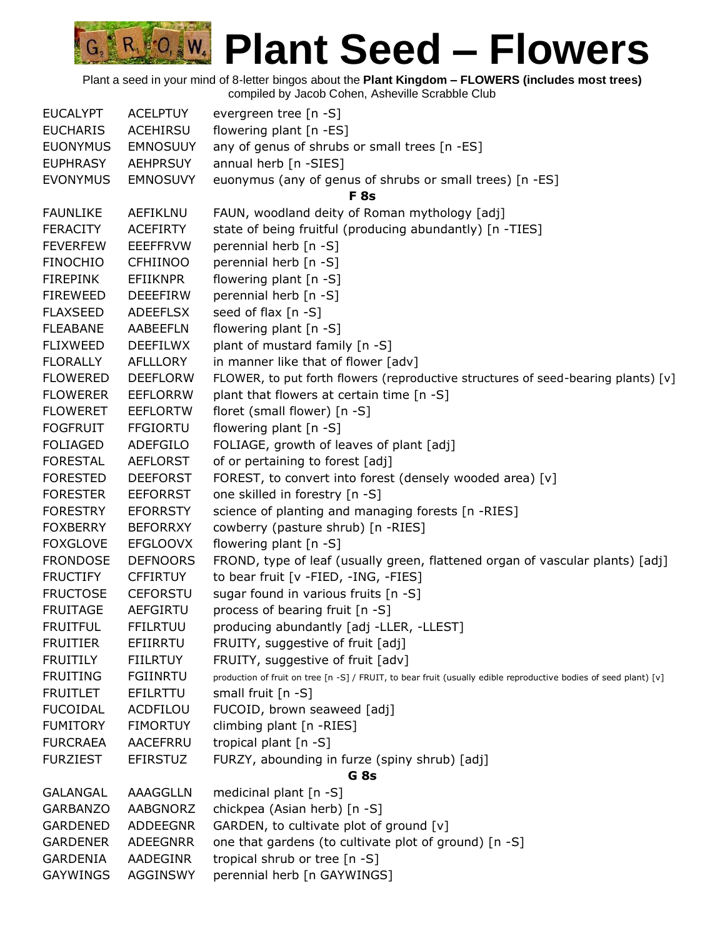| <b>EUCALYPT</b> | <b>ACELPTUY</b> | evergreen tree [n -S]                                                                                            |
|-----------------|-----------------|------------------------------------------------------------------------------------------------------------------|
| <b>EUCHARIS</b> | <b>ACEHIRSU</b> | flowering plant [n -ES]                                                                                          |
| <b>EUONYMUS</b> | <b>EMNOSUUY</b> | any of genus of shrubs or small trees [n -ES]                                                                    |
| <b>EUPHRASY</b> | <b>AEHPRSUY</b> | annual herb [n -SIES]                                                                                            |
| <b>EVONYMUS</b> | <b>EMNOSUVY</b> | euonymus (any of genus of shrubs or small trees) [n -ES]                                                         |
|                 |                 | F <sub>8s</sub>                                                                                                  |
| <b>FAUNLIKE</b> | AEFIKLNU        | FAUN, woodland deity of Roman mythology [adj]                                                                    |
| <b>FERACITY</b> | <b>ACEFIRTY</b> | state of being fruitful (producing abundantly) [n -TIES]                                                         |
| <b>FEVERFEW</b> | <b>EEEFFRVW</b> | perennial herb [n -S]                                                                                            |
| <b>FINOCHIO</b> | <b>CFHIINOO</b> | perennial herb [n -S]                                                                                            |
| <b>FIREPINK</b> | <b>EFIIKNPR</b> | flowering plant [n -S]                                                                                           |
| <b>FIREWEED</b> | <b>DEEEFIRW</b> | perennial herb [n -S]                                                                                            |
| <b>FLAXSEED</b> | <b>ADEEFLSX</b> | seed of flax [n -S]                                                                                              |
| <b>FLEABANE</b> | AABEEFLN        | flowering plant [n -S]                                                                                           |
| <b>FLIXWEED</b> | <b>DEEFILWX</b> | plant of mustard family [n -S]                                                                                   |
| <b>FLORALLY</b> | AFLLLORY        | in manner like that of flower [adv]                                                                              |
| <b>FLOWERED</b> | <b>DEEFLORW</b> | FLOWER, to put forth flowers (reproductive structures of seed-bearing plants) [v]                                |
| <b>FLOWERER</b> | <b>EEFLORRW</b> | plant that flowers at certain time [n -S]                                                                        |
| <b>FLOWERET</b> | <b>EEFLORTW</b> | floret (small flower) [n -S]                                                                                     |
| <b>FOGFRUIT</b> | <b>FFGIORTU</b> | flowering plant [n -S]                                                                                           |
| <b>FOLIAGED</b> | ADEFGILO        | FOLIAGE, growth of leaves of plant [adj]                                                                         |
| <b>FORESTAL</b> | <b>AEFLORST</b> | of or pertaining to forest [adj]                                                                                 |
| <b>FORESTED</b> | <b>DEEFORST</b> | FOREST, to convert into forest (densely wooded area) [v]                                                         |
| <b>FORESTER</b> | <b>EEFORRST</b> | one skilled in forestry [n -S]                                                                                   |
| <b>FORESTRY</b> | <b>EFORRSTY</b> | science of planting and managing forests [n -RIES]                                                               |
| <b>FOXBERRY</b> | <b>BEFORRXY</b> | cowberry (pasture shrub) [n -RIES]                                                                               |
| <b>FOXGLOVE</b> | <b>EFGLOOVX</b> | flowering plant [n -S]                                                                                           |
| <b>FRONDOSE</b> | <b>DEFNOORS</b> | FROND, type of leaf (usually green, flattened organ of vascular plants) [adj]                                    |
| <b>FRUCTIFY</b> | <b>CFFIRTUY</b> | to bear fruit [v -FIED, -ING, -FIES]                                                                             |
| <b>FRUCTOSE</b> | <b>CEFORSTU</b> | sugar found in various fruits [n -S]                                                                             |
| <b>FRUITAGE</b> | <b>AEFGIRTU</b> | process of bearing fruit [n -S]                                                                                  |
| <b>FRUITFUL</b> | <b>FFILRTUU</b> | producing abundantly [adj -LLER, -LLEST]                                                                         |
| <b>FRUITIER</b> | EFIIRRTU        | FRUITY, suggestive of fruit [adj]                                                                                |
| <b>FRUITILY</b> | <b>FIILRTUY</b> | FRUITY, suggestive of fruit [adv]                                                                                |
| <b>FRUITING</b> | <b>FGIINRTU</b> | production of fruit on tree [n -S] / FRUIT, to bear fruit (usually edible reproductive bodies of seed plant) [v] |
| <b>FRUITLET</b> | EFILRTTU        | small fruit [n -S]                                                                                               |
| <b>FUCOIDAL</b> | ACDFILOU        | FUCOID, brown seaweed [adj]                                                                                      |
| <b>FUMITORY</b> | <b>FIMORTUY</b> | climbing plant [n -RIES]                                                                                         |
| <b>FURCRAEA</b> | <b>AACEFRRU</b> | tropical plant [n -S]                                                                                            |
| <b>FURZIEST</b> | <b>EFIRSTUZ</b> | FURZY, abounding in furze (spiny shrub) [adj]                                                                    |
|                 |                 | G <sub>8s</sub>                                                                                                  |
| <b>GALANGAL</b> | AAAGGLLN        | medicinal plant [n -S]                                                                                           |
| <b>GARBANZO</b> | AABGNORZ        | chickpea (Asian herb) [n -S]                                                                                     |
| <b>GARDENED</b> | <b>ADDEEGNR</b> | GARDEN, to cultivate plot of ground [v]                                                                          |
| <b>GARDENER</b> | <b>ADEEGNRR</b> | one that gardens (to cultivate plot of ground) [n -S]                                                            |
| GARDENIA        | AADEGINR        | tropical shrub or tree [n -S]                                                                                    |
| <b>GAYWINGS</b> | <b>AGGINSWY</b> | perennial herb [n GAYWINGS]                                                                                      |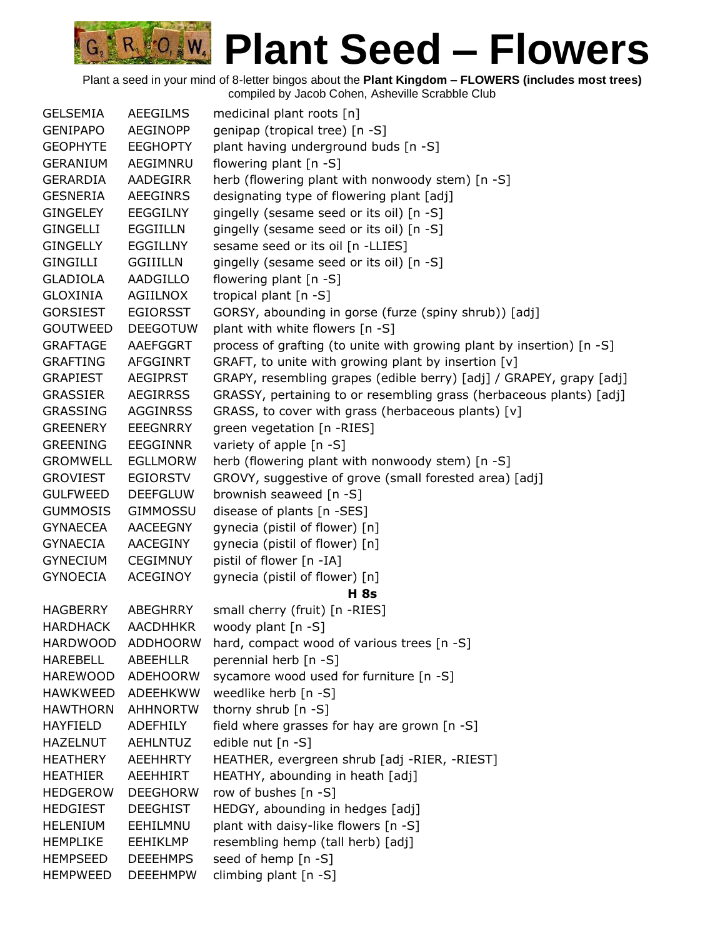| <b>GELSEMIA</b> | <b>AEEGILMS</b> | medicinal plant roots [n]                                             |
|-----------------|-----------------|-----------------------------------------------------------------------|
| <b>GENIPAPO</b> | <b>AEGINOPP</b> | genipap (tropical tree) [n -S]                                        |
| <b>GEOPHYTE</b> | <b>EEGHOPTY</b> | plant having underground buds [n -S]                                  |
| <b>GERANIUM</b> | AEGIMNRU        | flowering plant [n -S]                                                |
| <b>GERARDIA</b> | AADEGIRR        | herb (flowering plant with nonwoody stem) [n -S]                      |
| GESNERIA        | <b>AEEGINRS</b> | designating type of flowering plant [adj]                             |
| GINGELEY        | <b>EEGGILNY</b> | gingelly (sesame seed or its oil) [n -S]                              |
| <b>GINGELLI</b> | <b>EGGIILLN</b> | gingelly (sesame seed or its oil) [n -S]                              |
| <b>GINGELLY</b> | <b>EGGILLNY</b> | sesame seed or its oil [n -LLIES]                                     |
| <b>GINGILLI</b> | <b>GGIIILLN</b> | gingelly (sesame seed or its oil) [n -S]                              |
| GLADIOLA        | AADGILLO        | flowering plant [n -S]                                                |
| GLOXINIA        | <b>AGIILNOX</b> | tropical plant [n -S]                                                 |
| <b>GORSIEST</b> | <b>EGIORSST</b> | GORSY, abounding in gorse (furze (spiny shrub)) [adj]                 |
| <b>GOUTWEED</b> | <b>DEEGOTUW</b> | plant with white flowers [n -S]                                       |
| <b>GRAFTAGE</b> | AAEFGGRT        | process of grafting (to unite with growing plant by insertion) [n -S] |
| <b>GRAFTING</b> | AFGGINRT        | GRAFT, to unite with growing plant by insertion [v]                   |
| GRAPIEST        | <b>AEGIPRST</b> | GRAPY, resembling grapes (edible berry) [adj] / GRAPEY, grapy [adj]   |
| <b>GRASSIER</b> | <b>AEGIRRSS</b> | GRASSY, pertaining to or resembling grass (herbaceous plants) [adj]   |
| <b>GRASSING</b> | <b>AGGINRSS</b> | GRASS, to cover with grass (herbaceous plants) [v]                    |
| <b>GREENERY</b> | <b>EEEGNRRY</b> | green vegetation [n -RIES]                                            |
| <b>GREENING</b> | <b>EEGGINNR</b> | variety of apple [n -S]                                               |
| <b>GROMWELL</b> | <b>EGLLMORW</b> | herb (flowering plant with nonwoody stem) [n -S]                      |
| <b>GROVIEST</b> | <b>EGIORSTV</b> | GROVY, suggestive of grove (small forested area) [adj]                |
| <b>GULFWEED</b> | <b>DEEFGLUW</b> | brownish seaweed [n -S]                                               |
| <b>GUMMOSIS</b> | <b>GIMMOSSU</b> | disease of plants [n -SES]                                            |
| <b>GYNAECEA</b> | <b>AACEEGNY</b> | gynecia (pistil of flower) [n]                                        |
| GYNAECIA        | AACEGINY        | gynecia (pistil of flower) [n]                                        |
| <b>GYNECIUM</b> | <b>CEGIMNUY</b> | pistil of flower [n -IA]                                              |
| <b>GYNOECIA</b> | <b>ACEGINOY</b> | gynecia (pistil of flower) [n]                                        |
|                 |                 | <b>H</b> 8s                                                           |
| <b>HAGBERRY</b> | <b>ABEGHRRY</b> | small cherry (fruit) [n -RIES]                                        |
| <b>HARDHACK</b> | <b>AACDHHKR</b> | woody plant [n -S]                                                    |
| <b>HARDWOOD</b> | <b>ADDHOORW</b> | hard, compact wood of various trees [n -S]                            |
| <b>HAREBELL</b> | ABEEHLLR        | perennial herb [n -S]                                                 |
| <b>HAREWOOD</b> | <b>ADEHOORW</b> | sycamore wood used for furniture [n -S]                               |
| <b>HAWKWEED</b> | ADEEHKWW        | weedlike herb [n -S]                                                  |
| <b>HAWTHORN</b> | <b>AHHNORTW</b> | thorny shrub [n -S]                                                   |
| <b>HAYFIELD</b> | <b>ADEFHILY</b> | field where grasses for hay are grown [n -S]                          |
| <b>HAZELNUT</b> | <b>AEHLNTUZ</b> | edible nut [n -S]                                                     |
| <b>HEATHERY</b> | <b>AEEHHRTY</b> | HEATHER, evergreen shrub [adj -RIER, -RIEST]                          |
| <b>HEATHIER</b> | AEEHHIRT        | HEATHY, abounding in heath [adj]                                      |
| <b>HEDGEROW</b> | <b>DEEGHORW</b> | row of bushes [n -S]                                                  |
| <b>HEDGIEST</b> | <b>DEEGHIST</b> | HEDGY, abounding in hedges [adj]                                      |
| <b>HELENIUM</b> | EEHILMNU        | plant with daisy-like flowers [n -S]                                  |
| <b>HEMPLIKE</b> | <b>EEHIKLMP</b> | resembling hemp (tall herb) [adj]                                     |
| <b>HEMPSEED</b> | <b>DEEEHMPS</b> | seed of hemp [n -S]                                                   |
| <b>HEMPWEED</b> | <b>DEEEHMPW</b> | climbing plant [n -S]                                                 |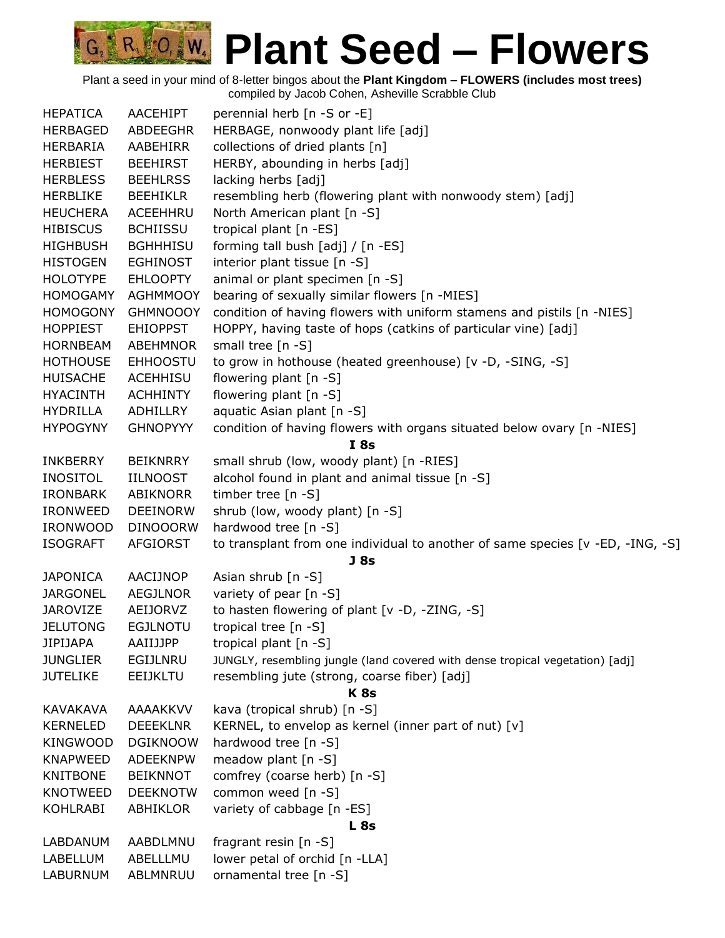|     | AACEHIPT                                                                                                                                                                                                                                                                                                                                                                                                                                                                                                                                                                                                                                                                                                                                                                                                                 | perennial herb [n -S or -E]                                                                                                                                                                                                                                                                                                                                                                                                                          |  |  |
|-----|--------------------------------------------------------------------------------------------------------------------------------------------------------------------------------------------------------------------------------------------------------------------------------------------------------------------------------------------------------------------------------------------------------------------------------------------------------------------------------------------------------------------------------------------------------------------------------------------------------------------------------------------------------------------------------------------------------------------------------------------------------------------------------------------------------------------------|------------------------------------------------------------------------------------------------------------------------------------------------------------------------------------------------------------------------------------------------------------------------------------------------------------------------------------------------------------------------------------------------------------------------------------------------------|--|--|
|     |                                                                                                                                                                                                                                                                                                                                                                                                                                                                                                                                                                                                                                                                                                                                                                                                                          | HERBAGE, nonwoody plant life [adj]                                                                                                                                                                                                                                                                                                                                                                                                                   |  |  |
|     |                                                                                                                                                                                                                                                                                                                                                                                                                                                                                                                                                                                                                                                                                                                                                                                                                          | collections of dried plants [n]                                                                                                                                                                                                                                                                                                                                                                                                                      |  |  |
|     |                                                                                                                                                                                                                                                                                                                                                                                                                                                                                                                                                                                                                                                                                                                                                                                                                          | HERBY, abounding in herbs [adj]                                                                                                                                                                                                                                                                                                                                                                                                                      |  |  |
|     |                                                                                                                                                                                                                                                                                                                                                                                                                                                                                                                                                                                                                                                                                                                                                                                                                          | lacking herbs [adj]                                                                                                                                                                                                                                                                                                                                                                                                                                  |  |  |
|     |                                                                                                                                                                                                                                                                                                                                                                                                                                                                                                                                                                                                                                                                                                                                                                                                                          | resembling herb (flowering plant with nonwoody stem) [adj]                                                                                                                                                                                                                                                                                                                                                                                           |  |  |
|     |                                                                                                                                                                                                                                                                                                                                                                                                                                                                                                                                                                                                                                                                                                                                                                                                                          | North American plant [n -S]                                                                                                                                                                                                                                                                                                                                                                                                                          |  |  |
|     |                                                                                                                                                                                                                                                                                                                                                                                                                                                                                                                                                                                                                                                                                                                                                                                                                          | tropical plant [n -ES]                                                                                                                                                                                                                                                                                                                                                                                                                               |  |  |
|     |                                                                                                                                                                                                                                                                                                                                                                                                                                                                                                                                                                                                                                                                                                                                                                                                                          | forming tall bush [adj] / [n -ES]                                                                                                                                                                                                                                                                                                                                                                                                                    |  |  |
|     |                                                                                                                                                                                                                                                                                                                                                                                                                                                                                                                                                                                                                                                                                                                                                                                                                          | interior plant tissue [n -S]                                                                                                                                                                                                                                                                                                                                                                                                                         |  |  |
|     |                                                                                                                                                                                                                                                                                                                                                                                                                                                                                                                                                                                                                                                                                                                                                                                                                          | animal or plant specimen [n -S]                                                                                                                                                                                                                                                                                                                                                                                                                      |  |  |
|     |                                                                                                                                                                                                                                                                                                                                                                                                                                                                                                                                                                                                                                                                                                                                                                                                                          | bearing of sexually similar flowers [n -MIES]                                                                                                                                                                                                                                                                                                                                                                                                        |  |  |
|     |                                                                                                                                                                                                                                                                                                                                                                                                                                                                                                                                                                                                                                                                                                                                                                                                                          | condition of having flowers with uniform stamens and pistils [n -NIES]                                                                                                                                                                                                                                                                                                                                                                               |  |  |
|     |                                                                                                                                                                                                                                                                                                                                                                                                                                                                                                                                                                                                                                                                                                                                                                                                                          | HOPPY, having taste of hops (catkins of particular vine) [adj]                                                                                                                                                                                                                                                                                                                                                                                       |  |  |
|     |                                                                                                                                                                                                                                                                                                                                                                                                                                                                                                                                                                                                                                                                                                                                                                                                                          | small tree $[n -S]$                                                                                                                                                                                                                                                                                                                                                                                                                                  |  |  |
|     |                                                                                                                                                                                                                                                                                                                                                                                                                                                                                                                                                                                                                                                                                                                                                                                                                          | to grow in hothouse (heated greenhouse) [v -D, -SING, -S]                                                                                                                                                                                                                                                                                                                                                                                            |  |  |
|     |                                                                                                                                                                                                                                                                                                                                                                                                                                                                                                                                                                                                                                                                                                                                                                                                                          | flowering plant [n -S]                                                                                                                                                                                                                                                                                                                                                                                                                               |  |  |
|     |                                                                                                                                                                                                                                                                                                                                                                                                                                                                                                                                                                                                                                                                                                                                                                                                                          | flowering plant [n -S]                                                                                                                                                                                                                                                                                                                                                                                                                               |  |  |
|     |                                                                                                                                                                                                                                                                                                                                                                                                                                                                                                                                                                                                                                                                                                                                                                                                                          | aquatic Asian plant [n -S]                                                                                                                                                                                                                                                                                                                                                                                                                           |  |  |
|     |                                                                                                                                                                                                                                                                                                                                                                                                                                                                                                                                                                                                                                                                                                                                                                                                                          | condition of having flowers with organs situated below ovary [n -NIES]                                                                                                                                                                                                                                                                                                                                                                               |  |  |
|     |                                                                                                                                                                                                                                                                                                                                                                                                                                                                                                                                                                                                                                                                                                                                                                                                                          | I8s                                                                                                                                                                                                                                                                                                                                                                                                                                                  |  |  |
|     |                                                                                                                                                                                                                                                                                                                                                                                                                                                                                                                                                                                                                                                                                                                                                                                                                          | small shrub (low, woody plant) [n -RIES]                                                                                                                                                                                                                                                                                                                                                                                                             |  |  |
|     |                                                                                                                                                                                                                                                                                                                                                                                                                                                                                                                                                                                                                                                                                                                                                                                                                          | alcohol found in plant and animal tissue [n -S]                                                                                                                                                                                                                                                                                                                                                                                                      |  |  |
|     |                                                                                                                                                                                                                                                                                                                                                                                                                                                                                                                                                                                                                                                                                                                                                                                                                          | timber tree $[n - S]$                                                                                                                                                                                                                                                                                                                                                                                                                                |  |  |
|     |                                                                                                                                                                                                                                                                                                                                                                                                                                                                                                                                                                                                                                                                                                                                                                                                                          | shrub (low, woody plant) [n -S]                                                                                                                                                                                                                                                                                                                                                                                                                      |  |  |
|     |                                                                                                                                                                                                                                                                                                                                                                                                                                                                                                                                                                                                                                                                                                                                                                                                                          | hardwood tree [n -S]                                                                                                                                                                                                                                                                                                                                                                                                                                 |  |  |
|     |                                                                                                                                                                                                                                                                                                                                                                                                                                                                                                                                                                                                                                                                                                                                                                                                                          | to transplant from one individual to another of same species [v -ED, -ING, -S]                                                                                                                                                                                                                                                                                                                                                                       |  |  |
|     |                                                                                                                                                                                                                                                                                                                                                                                                                                                                                                                                                                                                                                                                                                                                                                                                                          | J <sub>8s</sub>                                                                                                                                                                                                                                                                                                                                                                                                                                      |  |  |
|     | AACIJNOP                                                                                                                                                                                                                                                                                                                                                                                                                                                                                                                                                                                                                                                                                                                                                                                                                 | Asian shrub [n -S]                                                                                                                                                                                                                                                                                                                                                                                                                                   |  |  |
|     | <b>AEGJLNOR</b>                                                                                                                                                                                                                                                                                                                                                                                                                                                                                                                                                                                                                                                                                                                                                                                                          | variety of pear [n -S]                                                                                                                                                                                                                                                                                                                                                                                                                               |  |  |
|     | AEIJORVZ                                                                                                                                                                                                                                                                                                                                                                                                                                                                                                                                                                                                                                                                                                                                                                                                                 | to hasten flowering of plant [v -D, -ZING, -S]                                                                                                                                                                                                                                                                                                                                                                                                       |  |  |
|     | <b>EGJLNOTU</b>                                                                                                                                                                                                                                                                                                                                                                                                                                                                                                                                                                                                                                                                                                                                                                                                          | tropical tree [n -S]                                                                                                                                                                                                                                                                                                                                                                                                                                 |  |  |
|     | AAIIJJPP                                                                                                                                                                                                                                                                                                                                                                                                                                                                                                                                                                                                                                                                                                                                                                                                                 | tropical plant [n -S]                                                                                                                                                                                                                                                                                                                                                                                                                                |  |  |
|     | <b>EGIJLNRU</b>                                                                                                                                                                                                                                                                                                                                                                                                                                                                                                                                                                                                                                                                                                                                                                                                          | JUNGLY, resembling jungle (land covered with dense tropical vegetation) [adj]                                                                                                                                                                                                                                                                                                                                                                        |  |  |
|     | EEIJKLTU                                                                                                                                                                                                                                                                                                                                                                                                                                                                                                                                                                                                                                                                                                                                                                                                                 | resembling jute (strong, coarse fiber) [adj]                                                                                                                                                                                                                                                                                                                                                                                                         |  |  |
|     |                                                                                                                                                                                                                                                                                                                                                                                                                                                                                                                                                                                                                                                                                                                                                                                                                          | K <sub>8s</sub>                                                                                                                                                                                                                                                                                                                                                                                                                                      |  |  |
|     | <b>AAAAKKVV</b>                                                                                                                                                                                                                                                                                                                                                                                                                                                                                                                                                                                                                                                                                                                                                                                                          | kava (tropical shrub) [n -S]                                                                                                                                                                                                                                                                                                                                                                                                                         |  |  |
|     | <b>DEEEKLNR</b>                                                                                                                                                                                                                                                                                                                                                                                                                                                                                                                                                                                                                                                                                                                                                                                                          | KERNEL, to envelop as kernel (inner part of nut) [v]                                                                                                                                                                                                                                                                                                                                                                                                 |  |  |
|     | <b>DGIKNOOW</b>                                                                                                                                                                                                                                                                                                                                                                                                                                                                                                                                                                                                                                                                                                                                                                                                          | hardwood tree [n -S]                                                                                                                                                                                                                                                                                                                                                                                                                                 |  |  |
|     | <b>ADEEKNPW</b>                                                                                                                                                                                                                                                                                                                                                                                                                                                                                                                                                                                                                                                                                                                                                                                                          | meadow plant [n -S]                                                                                                                                                                                                                                                                                                                                                                                                                                  |  |  |
|     | <b>BEIKNNOT</b>                                                                                                                                                                                                                                                                                                                                                                                                                                                                                                                                                                                                                                                                                                                                                                                                          | comfrey (coarse herb) [n -S]                                                                                                                                                                                                                                                                                                                                                                                                                         |  |  |
|     | <b>DEEKNOTW</b>                                                                                                                                                                                                                                                                                                                                                                                                                                                                                                                                                                                                                                                                                                                                                                                                          | common weed [n -S]                                                                                                                                                                                                                                                                                                                                                                                                                                   |  |  |
|     | ABHIKLOR                                                                                                                                                                                                                                                                                                                                                                                                                                                                                                                                                                                                                                                                                                                                                                                                                 | variety of cabbage [n -ES]                                                                                                                                                                                                                                                                                                                                                                                                                           |  |  |
| L8s |                                                                                                                                                                                                                                                                                                                                                                                                                                                                                                                                                                                                                                                                                                                                                                                                                          |                                                                                                                                                                                                                                                                                                                                                                                                                                                      |  |  |
|     | AABDLMNU                                                                                                                                                                                                                                                                                                                                                                                                                                                                                                                                                                                                                                                                                                                                                                                                                 | fragrant resin [n -S]                                                                                                                                                                                                                                                                                                                                                                                                                                |  |  |
|     | ABELLLMU                                                                                                                                                                                                                                                                                                                                                                                                                                                                                                                                                                                                                                                                                                                                                                                                                 | lower petal of orchid [n -LLA]                                                                                                                                                                                                                                                                                                                                                                                                                       |  |  |
|     | ABLMNRUU                                                                                                                                                                                                                                                                                                                                                                                                                                                                                                                                                                                                                                                                                                                                                                                                                 | ornamental tree [n -S]                                                                                                                                                                                                                                                                                                                                                                                                                               |  |  |
|     | <b>HEPATICA</b><br><b>HERBAGED</b><br><b>HERBARIA</b><br><b>HERBIEST</b><br><b>HERBLESS</b><br><b>HERBLIKE</b><br><b>HEUCHERA</b><br><b>HIBISCUS</b><br><b>HIGHBUSH</b><br><b>HISTOGEN</b><br><b>HOLOTYPE</b><br><b>HOMOGAMY</b><br><b>HOMOGONY</b><br><b>HOPPIEST</b><br><b>HORNBEAM</b><br><b>HOTHOUSE</b><br><b>HUISACHE</b><br><b>HYACINTH</b><br><b>HYDRILLA</b><br><b>HYPOGYNY</b><br><b>INKBERRY</b><br><b>INOSITOL</b><br><b>IRONBARK</b><br><b>IRONWEED</b><br><b>IRONWOOD</b><br><b>ISOGRAFT</b><br><b>JAPONICA</b><br><b>JARGONEL</b><br><b>JAROVIZE</b><br><b>JELUTONG</b><br><b>JIPIJAPA</b><br><b>JUNGLIER</b><br><b>JUTELIKE</b><br><b>KAVAKAVA</b><br><b>KERNELED</b><br><b>KINGWOOD</b><br><b>KNAPWEED</b><br><b>KNITBONE</b><br><b>KNOTWEED</b><br>KOHLRABI<br>LABDANUM<br>LABELLUM<br><b>LABURNUM</b> | ABDEEGHR<br>AABEHIRR<br><b>BEEHIRST</b><br><b>BEEHLRSS</b><br><b>BEEHIKLR</b><br>ACEEHHRU<br><b>BCHIISSU</b><br><b>BGHHHISU</b><br><b>EGHINOST</b><br><b>EHLOOPTY</b><br><b>AGHMMOOY</b><br><b>GHMNOOOY</b><br><b>EHIOPPST</b><br><b>ABEHMNOR</b><br><b>EHHOOSTU</b><br><b>ACEHHISU</b><br><b>ACHHINTY</b><br>ADHILLRY<br><b>GHNOPYYY</b><br><b>BEIKNRRY</b><br><b>IILNOOST</b><br>ABIKNORR<br><b>DEEINORW</b><br><b>DINOOORW</b><br><b>AFGIORST</b> |  |  |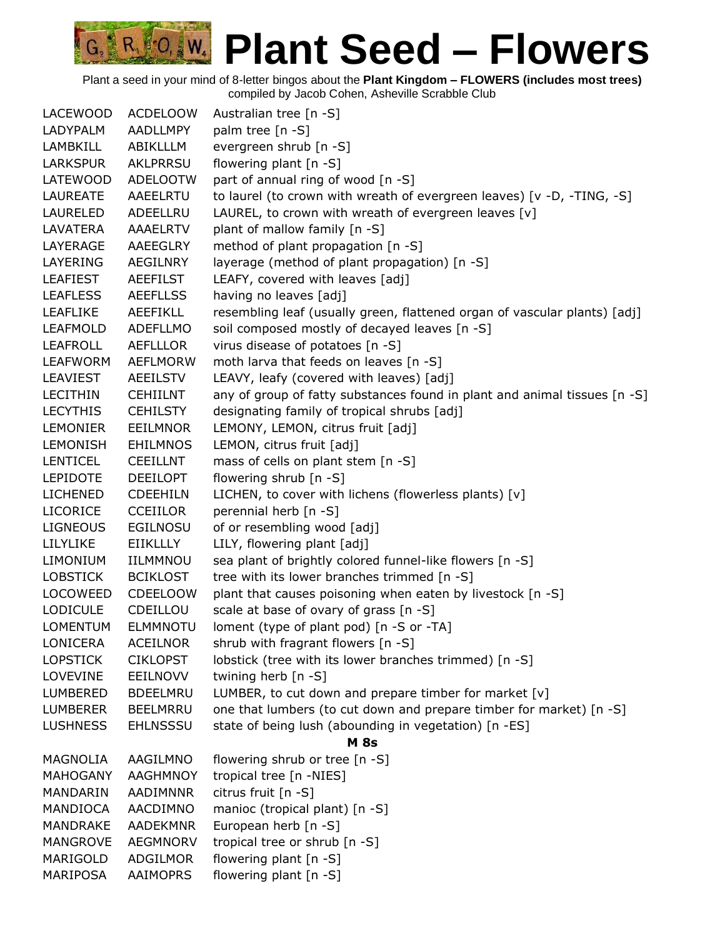| <b>LACEWOOD</b> | <b>ACDELOOW</b> | Australian tree [n -S]                                                    |
|-----------------|-----------------|---------------------------------------------------------------------------|
| LADYPALM        | <b>AADLLMPY</b> | palm tree [n -S]                                                          |
| <b>LAMBKILL</b> | ABIKLLLM        | evergreen shrub [n -S]                                                    |
| <b>LARKSPUR</b> | <b>AKLPRRSU</b> | flowering plant [n -S]                                                    |
| LATEWOOD        | <b>ADELOOTW</b> | part of annual ring of wood [n -S]                                        |
| LAUREATE        | AAEELRTU        | to laurel (to crown with wreath of evergreen leaves) [v -D, -TING, -S]    |
| LAURELED        | ADEELLRU        | LAUREL, to crown with wreath of evergreen leaves [v]                      |
| LAVATERA        | <b>AAAELRTV</b> | plant of mallow family [n -S]                                             |
| LAYERAGE        | AAEEGLRY        | method of plant propagation [n -S]                                        |
| LAYERING        | AEGILNRY        | layerage (method of plant propagation) [n -S]                             |
| <b>LEAFIEST</b> | <b>AEEFILST</b> | LEAFY, covered with leaves [adj]                                          |
| <b>LEAFLESS</b> | <b>AEEFLLSS</b> | having no leaves [adj]                                                    |
| <b>LEAFLIKE</b> | <b>AEEFIKLL</b> | resembling leaf (usually green, flattened organ of vascular plants) [adj] |
| <b>LEAFMOLD</b> | <b>ADEFLLMO</b> | soil composed mostly of decayed leaves [n -S]                             |
| <b>LEAFROLL</b> | <b>AEFLLLOR</b> | virus disease of potatoes [n -S]                                          |
| <b>LEAFWORM</b> | <b>AEFLMORW</b> | moth larva that feeds on leaves [n -S]                                    |
| <b>LEAVIEST</b> | <b>AEEILSTV</b> | LEAVY, leafy (covered with leaves) [adj]                                  |
| <b>LECITHIN</b> | <b>CEHIILNT</b> | any of group of fatty substances found in plant and animal tissues [n -S] |
| <b>LECYTHIS</b> | <b>CEHILSTY</b> | designating family of tropical shrubs [adj]                               |
| <b>LEMONIER</b> | <b>EEILMNOR</b> | LEMONY, LEMON, citrus fruit [adj]                                         |
| <b>LEMONISH</b> | <b>EHILMNOS</b> | LEMON, citrus fruit [adj]                                                 |
| <b>LENTICEL</b> | <b>CEEILLNT</b> | mass of cells on plant stem [n -S]                                        |
| <b>LEPIDOTE</b> | <b>DEEILOPT</b> | flowering shrub [n -S]                                                    |
| <b>LICHENED</b> | <b>CDEEHILN</b> | LICHEN, to cover with lichens (flowerless plants) [v]                     |
| <b>LICORICE</b> | <b>CCEIILOR</b> | perennial herb [n -S]                                                     |
| <b>LIGNEOUS</b> | <b>EGILNOSU</b> | of or resembling wood [adj]                                               |
| LILYLIKE        | EIIKLLLY        | LILY, flowering plant [adj]                                               |
| <b>LIMONIUM</b> | IILMMNOU        | sea plant of brightly colored funnel-like flowers [n -S]                  |
| <b>LOBSTICK</b> | <b>BCIKLOST</b> | tree with its lower branches trimmed [n -S]                               |
| LOCOWEED        | <b>CDEELOOW</b> | plant that causes poisoning when eaten by livestock [n -S]                |
| <b>LODICULE</b> | CDEILLOU        | scale at base of ovary of grass [n -S]                                    |
| <b>LOMENTUM</b> | <b>ELMMNOTU</b> | loment (type of plant pod) [n -S or -TA]                                  |
| LONICERA        | <b>ACEILNOR</b> | shrub with fragrant flowers [n -S]                                        |
| <b>LOPSTICK</b> | <b>CIKLOPST</b> | lobstick (tree with its lower branches trimmed) [n -S]                    |
| <b>LOVEVINE</b> | EEILNOVV        | twining herb [n -S]                                                       |
| LUMBERED        | <b>BDEELMRU</b> | LUMBER, to cut down and prepare timber for market [v]                     |
| <b>LUMBERER</b> | <b>BEELMRRU</b> | one that lumbers (to cut down and prepare timber for market) [n -S]       |
| <b>LUSHNESS</b> | <b>EHLNSSSU</b> | state of being lush (abounding in vegetation) [n -ES]                     |
|                 |                 | <b>M</b> 8s                                                               |
| MAGNOLIA        | AAGILMNO        | flowering shrub or tree [n -S]                                            |
| <b>MAHOGANY</b> | <b>AAGHMNOY</b> | tropical tree [n -NIES]                                                   |
| MANDARIN        | AADIMNNR        | citrus fruit [n -S]                                                       |
| MANDIOCA        | AACDIMNO        | manioc (tropical plant) [n -S]                                            |
| <b>MANDRAKE</b> | <b>AADEKMNR</b> | European herb [n -S]                                                      |
| <b>MANGROVE</b> | <b>AEGMNORV</b> | tropical tree or shrub [n -S]                                             |
| MARIGOLD        | ADGILMOR        | flowering plant [n -S]                                                    |
| MARIPOSA        | <b>AAIMOPRS</b> | flowering plant [n -S]                                                    |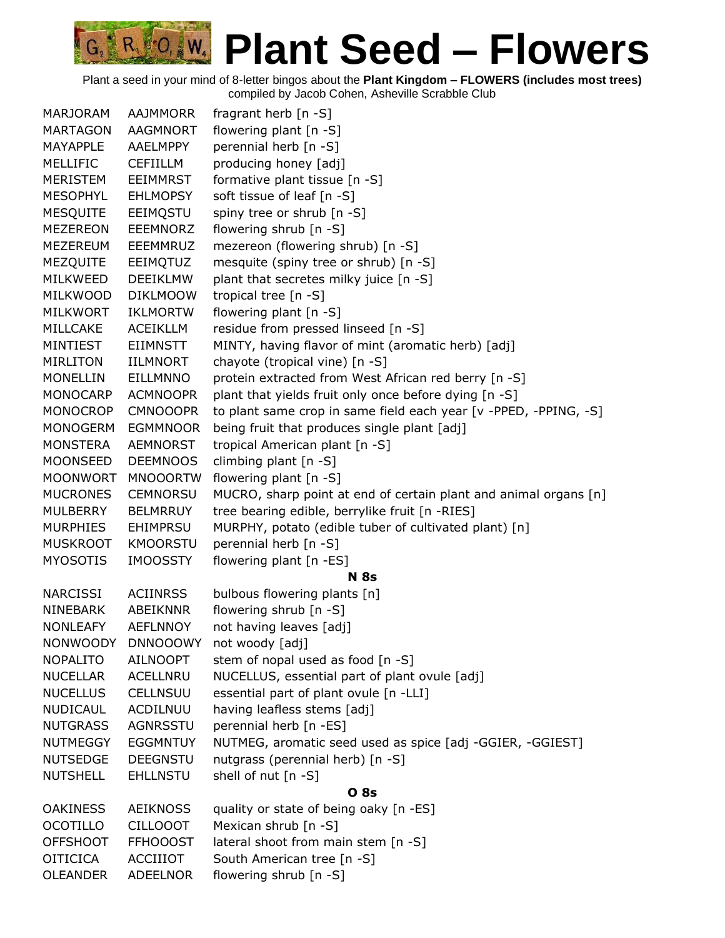| <b>MARJORAM</b> | <b>AAJMMORR</b> | fragrant herb $[n - S]$                                          |
|-----------------|-----------------|------------------------------------------------------------------|
| <b>MARTAGON</b> | <b>AAGMNORT</b> | flowering plant [n -S]                                           |
| <b>MAYAPPLE</b> | AAELMPPY        | perennial herb [n -S]                                            |
| MELLIFIC        | <b>CEFIILLM</b> | producing honey [adj]                                            |
| <b>MERISTEM</b> | <b>EEIMMRST</b> | formative plant tissue [n -S]                                    |
| <b>MESOPHYL</b> | <b>EHLMOPSY</b> | soft tissue of leaf [n -S]                                       |
| <b>MESQUITE</b> | EEIMQSTU        | spiny tree or shrub [n -S]                                       |
| <b>MEZEREON</b> | <b>EEEMNORZ</b> | flowering shrub [n -S]                                           |
| <b>MEZEREUM</b> | EEEMMRUZ        | mezereon (flowering shrub) [n -S]                                |
| MEZQUITE        | EEIMQTUZ        | mesquite (spiny tree or shrub) [n -S]                            |
| MILKWEED        | <b>DEEIKLMW</b> | plant that secretes milky juice [n -S]                           |
| <b>MILKWOOD</b> | <b>DIKLMOOW</b> | tropical tree [n -S]                                             |
| <b>MILKWORT</b> | <b>IKLMORTW</b> | flowering plant [n -S]                                           |
| MILLCAKE        | <b>ACEIKLLM</b> | residue from pressed linseed [n -S]                              |
| MINTIEST        | <b>EIIMNSTT</b> | MINTY, having flavor of mint (aromatic herb) [adj]               |
| MIRLITON        | IILMNORT        | chayote (tropical vine) [n -S]                                   |
| <b>MONELLIN</b> | <b>EILLMNNO</b> | protein extracted from West African red berry [n -S]             |
| <b>MONOCARP</b> | <b>ACMNOOPR</b> | plant that yields fruit only once before dying [n -S]            |
| <b>MONOCROP</b> | <b>CMNOOOPR</b> | to plant same crop in same field each year [v -PPED, -PPING, -S] |
| <b>MONOGERM</b> | <b>EGMMNOOR</b> | being fruit that produces single plant [adj]                     |
| <b>MONSTERA</b> | AEMNORST        | tropical American plant [n -S]                                   |
| <b>MOONSEED</b> | <b>DEEMNOOS</b> | climbing plant [n -S]                                            |
| <b>MOONWORT</b> | <b>MNOOORTW</b> | flowering plant [n -S]                                           |
| <b>MUCRONES</b> | <b>CEMNORSU</b> | MUCRO, sharp point at end of certain plant and animal organs [n] |
| <b>MULBERRY</b> | <b>BELMRRUY</b> | tree bearing edible, berrylike fruit [n -RIES]                   |
| <b>MURPHIES</b> | <b>EHIMPRSU</b> | MURPHY, potato (edible tuber of cultivated plant) [n]            |
| <b>MUSKROOT</b> | <b>KMOORSTU</b> | perennial herb [n -S]                                            |
| <b>MYOSOTIS</b> | <b>IMOOSSTY</b> | flowering plant [n -ES]                                          |
|                 |                 | <b>N</b> 8s                                                      |
| <b>NARCISSI</b> | <b>ACIINRSS</b> | bulbous flowering plants [n]                                     |
| <b>NINEBARK</b> | <b>ABEIKNNR</b> | flowering shrub [n -S]                                           |
| <b>NONLEAFY</b> | <b>AEFLNNOY</b> | not having leaves [adj]                                          |
| <b>NONWOODY</b> | <b>DNNOOOWY</b> | not woody [adj]                                                  |
| <b>NOPALITO</b> | <b>AILNOOPT</b> | stem of nopal used as food [n -S]                                |
| <b>NUCELLAR</b> | ACELLNRU        | NUCELLUS, essential part of plant ovule [adj]                    |
| <b>NUCELLUS</b> | <b>CELLNSUU</b> | essential part of plant ovule [n -LLI]                           |
| NUDICAUL        | ACDILNUU        | having leafless stems [adj]                                      |
| <b>NUTGRASS</b> | <b>AGNRSSTU</b> | perennial herb [n -ES]                                           |
| <b>NUTMEGGY</b> | <b>EGGMNTUY</b> | NUTMEG, aromatic seed used as spice [adj -GGIER, -GGIEST]        |
| <b>NUTSEDGE</b> | <b>DEEGNSTU</b> | nutgrass (perennial herb) [n -S]                                 |
| <b>NUTSHELL</b> | <b>EHLLNSTU</b> | shell of nut [n -S]                                              |
|                 |                 | O 8s                                                             |
| <b>OAKINESS</b> | <b>AEIKNOSS</b> | quality or state of being oaky [n -ES]                           |
| <b>OCOTILLO</b> | <b>CILLOOOT</b> | Mexican shrub [n -S]                                             |
| <b>OFFSHOOT</b> | <b>FFHOOOST</b> | lateral shoot from main stem [n -S]                              |
| <b>OITICICA</b> | <b>ACCIIIOT</b> | South American tree [n -S]                                       |
| <b>OLEANDER</b> | <b>ADEELNOR</b> | flowering shrub [n -S]                                           |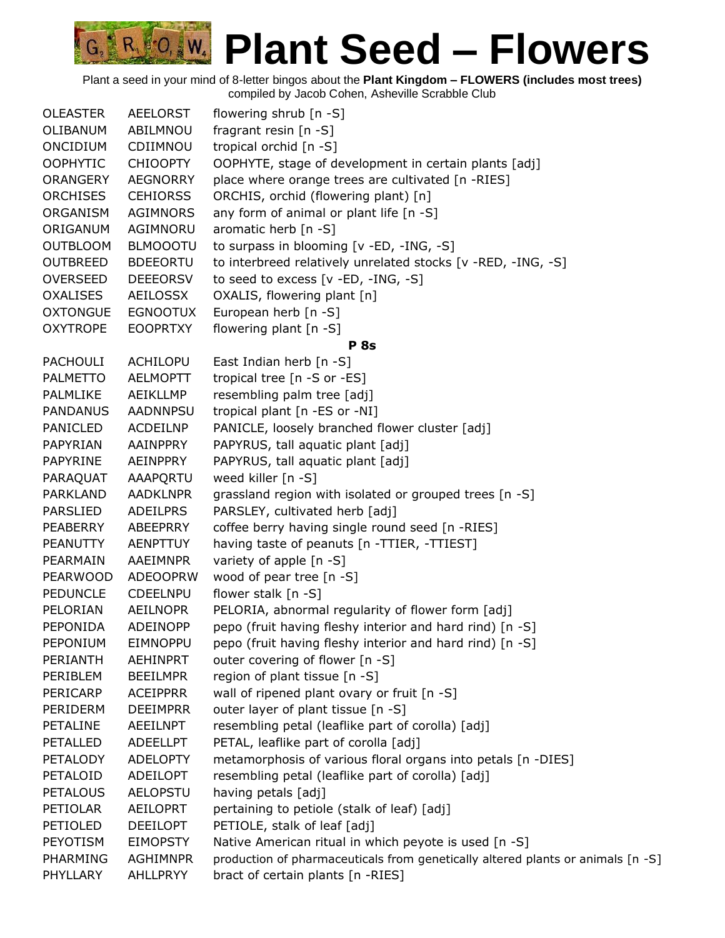| fragrant resin $[n -S]$<br>OLIBANUM<br>ABILMNOU<br>tropical orchid [n -S]<br><b>ONCIDIUM</b><br>CDIIMNOU<br><b>OOPHYTIC</b><br><b>CHIOOPTY</b><br>OOPHYTE, stage of development in certain plants [adj]<br>place where orange trees are cultivated [n -RIES]<br><b>ORANGERY</b><br><b>AEGNORRY</b><br>ORCHIS, orchid (flowering plant) [n]<br><b>ORCHISES</b><br><b>CEHIORSS</b><br>any form of animal or plant life [n -S]<br>ORGANISM<br>AGIMNORS<br>aromatic herb [n -S]<br>ORIGANUM<br>AGIMNORU<br><b>OUTBLOOM</b><br><b>BLMOOOTU</b><br>to surpass in blooming [v -ED, -ING, -S]<br><b>OUTBREED</b><br><b>BDEEORTU</b><br>to interbreed relatively unrelated stocks [v -RED, -ING, -S]<br>to seed to excess [v -ED, -ING, -S]<br><b>OVERSEED</b><br><b>DEEEORSV</b><br><b>OXALISES</b><br>AEILOSSX<br>OXALIS, flowering plant [n]<br><b>OXTONGUE</b><br><b>EGNOOTUX</b><br>European herb [n -S]<br><b>OXYTROPE</b><br><b>EOOPRTXY</b><br>flowering plant [n -S]<br><b>P</b> 8s<br>ACHILOPU<br>East Indian herb [n -S]<br><b>PACHOULI</b><br>tropical tree [n -S or -ES]<br><b>AELMOPTT</b><br><b>PALMETTO</b><br>resembling palm tree [adj]<br>PALMLIKE<br>AEIKLLMP<br>tropical plant [n -ES or -NI]<br><b>PANDANUS</b><br><b>AADNNPSU</b><br>PANICLE, loosely branched flower cluster [adj]<br>PANICLED<br><b>ACDEILNP</b><br>PAPYRUS, tall aquatic plant [adj]<br>PAPYRIAN<br>AAINPPRY<br>PAPYRUS, tall aquatic plant [adj]<br>PAPYRINE<br>AEINPPRY<br>weed killer [n -S]<br>PARAQUAT<br>AAAPQRTU<br><b>PARKLAND</b><br><b>AADKLNPR</b><br>grassland region with isolated or grouped trees [n -S]<br>PARSLEY, cultivated herb [adj]<br><b>PARSLIED</b><br><b>ADEILPRS</b><br>coffee berry having single round seed [n -RIES]<br>PEABERRY<br>ABEEPRRY<br>having taste of peanuts [n -TTIER, -TTIEST]<br><b>PEANUTTY</b><br><b>AENPTTUY</b><br>AAEIMNPR<br>variety of apple [n -S]<br>PEARMAIN<br>wood of pear tree [n -S]<br><b>PEARWOOD</b><br><b>ADEOOPRW</b><br>flower stalk [n -S]<br><b>PEDUNCLE</b><br><b>CDEELNPU</b><br>PELORIA, abnormal regularity of flower form [adj]<br>PELORIAN<br><b>AEILNOPR</b><br>pepo (fruit having fleshy interior and hard rind) [n -S]<br>PEPONIDA<br><b>ADEINOPP</b><br>EIMNOPPU<br>PEPONIUM<br>pepo (fruit having fleshy interior and hard rind) [n -S]<br>PERIANTH<br><b>AEHINPRT</b><br>outer covering of flower [n -S]<br>region of plant tissue [n -S]<br>PERIBLEM<br><b>BEEILMPR</b><br>PERICARP<br><b>ACEIPPRR</b><br>wall of ripened plant ovary or fruit [n -S]<br>outer layer of plant tissue [n -S]<br>PERIDERM<br><b>DEEIMPRR</b><br>PETALINE<br>AEEILNPT<br>resembling petal (leaflike part of corolla) [adj]<br>PETALLED<br>PETAL, leaflike part of corolla [adj]<br><b>ADEELLPT</b><br>metamorphosis of various floral organs into petals [n -DIES]<br>PETALODY<br><b>ADELOPTY</b><br>PETALOID<br>ADEILOPT<br>resembling petal (leaflike part of corolla) [adj]<br><b>PETALOUS</b><br><b>AELOPSTU</b><br>having petals [adj]<br>PETIOLAR<br><b>AEILOPRT</b><br>pertaining to petiole (stalk of leaf) [adj]<br>PETIOLED<br>PETIOLE, stalk of leaf [adj]<br><b>DEEILOPT</b><br>PEYOTISM<br><b>EIMOPSTY</b><br>Native American ritual in which peyote is used [n -S]<br>PHARMING<br>AGHIMNPR<br>production of pharmaceuticals from genetically altered plants or animals [n -S]<br>bract of certain plants [n -RIES]<br>PHYLLARY<br>AHLLPRYY | <b>OLEASTER</b> | AEELORST | flowering shrub $[n - S]$ |
|-------------------------------------------------------------------------------------------------------------------------------------------------------------------------------------------------------------------------------------------------------------------------------------------------------------------------------------------------------------------------------------------------------------------------------------------------------------------------------------------------------------------------------------------------------------------------------------------------------------------------------------------------------------------------------------------------------------------------------------------------------------------------------------------------------------------------------------------------------------------------------------------------------------------------------------------------------------------------------------------------------------------------------------------------------------------------------------------------------------------------------------------------------------------------------------------------------------------------------------------------------------------------------------------------------------------------------------------------------------------------------------------------------------------------------------------------------------------------------------------------------------------------------------------------------------------------------------------------------------------------------------------------------------------------------------------------------------------------------------------------------------------------------------------------------------------------------------------------------------------------------------------------------------------------------------------------------------------------------------------------------------------------------------------------------------------------------------------------------------------------------------------------------------------------------------------------------------------------------------------------------------------------------------------------------------------------------------------------------------------------------------------------------------------------------------------------------------------------------------------------------------------------------------------------------------------------------------------------------------------------------------------------------------------------------------------------------------------------------------------------------------------------------------------------------------------------------------------------------------------------------------------------------------------------------------------------------------------------------------------------------------------------------------------------------------------------------------------------------------------------------------------------------------------------------------------------------------------------------------------------------------------------------------------------------------------------------------------------------------------------------------------------------|-----------------|----------|---------------------------|
|                                                                                                                                                                                                                                                                                                                                                                                                                                                                                                                                                                                                                                                                                                                                                                                                                                                                                                                                                                                                                                                                                                                                                                                                                                                                                                                                                                                                                                                                                                                                                                                                                                                                                                                                                                                                                                                                                                                                                                                                                                                                                                                                                                                                                                                                                                                                                                                                                                                                                                                                                                                                                                                                                                                                                                                                                                                                                                                                                                                                                                                                                                                                                                                                                                                                                                                                                                                                       |                 |          |                           |
|                                                                                                                                                                                                                                                                                                                                                                                                                                                                                                                                                                                                                                                                                                                                                                                                                                                                                                                                                                                                                                                                                                                                                                                                                                                                                                                                                                                                                                                                                                                                                                                                                                                                                                                                                                                                                                                                                                                                                                                                                                                                                                                                                                                                                                                                                                                                                                                                                                                                                                                                                                                                                                                                                                                                                                                                                                                                                                                                                                                                                                                                                                                                                                                                                                                                                                                                                                                                       |                 |          |                           |
|                                                                                                                                                                                                                                                                                                                                                                                                                                                                                                                                                                                                                                                                                                                                                                                                                                                                                                                                                                                                                                                                                                                                                                                                                                                                                                                                                                                                                                                                                                                                                                                                                                                                                                                                                                                                                                                                                                                                                                                                                                                                                                                                                                                                                                                                                                                                                                                                                                                                                                                                                                                                                                                                                                                                                                                                                                                                                                                                                                                                                                                                                                                                                                                                                                                                                                                                                                                                       |                 |          |                           |
|                                                                                                                                                                                                                                                                                                                                                                                                                                                                                                                                                                                                                                                                                                                                                                                                                                                                                                                                                                                                                                                                                                                                                                                                                                                                                                                                                                                                                                                                                                                                                                                                                                                                                                                                                                                                                                                                                                                                                                                                                                                                                                                                                                                                                                                                                                                                                                                                                                                                                                                                                                                                                                                                                                                                                                                                                                                                                                                                                                                                                                                                                                                                                                                                                                                                                                                                                                                                       |                 |          |                           |
|                                                                                                                                                                                                                                                                                                                                                                                                                                                                                                                                                                                                                                                                                                                                                                                                                                                                                                                                                                                                                                                                                                                                                                                                                                                                                                                                                                                                                                                                                                                                                                                                                                                                                                                                                                                                                                                                                                                                                                                                                                                                                                                                                                                                                                                                                                                                                                                                                                                                                                                                                                                                                                                                                                                                                                                                                                                                                                                                                                                                                                                                                                                                                                                                                                                                                                                                                                                                       |                 |          |                           |
|                                                                                                                                                                                                                                                                                                                                                                                                                                                                                                                                                                                                                                                                                                                                                                                                                                                                                                                                                                                                                                                                                                                                                                                                                                                                                                                                                                                                                                                                                                                                                                                                                                                                                                                                                                                                                                                                                                                                                                                                                                                                                                                                                                                                                                                                                                                                                                                                                                                                                                                                                                                                                                                                                                                                                                                                                                                                                                                                                                                                                                                                                                                                                                                                                                                                                                                                                                                                       |                 |          |                           |
|                                                                                                                                                                                                                                                                                                                                                                                                                                                                                                                                                                                                                                                                                                                                                                                                                                                                                                                                                                                                                                                                                                                                                                                                                                                                                                                                                                                                                                                                                                                                                                                                                                                                                                                                                                                                                                                                                                                                                                                                                                                                                                                                                                                                                                                                                                                                                                                                                                                                                                                                                                                                                                                                                                                                                                                                                                                                                                                                                                                                                                                                                                                                                                                                                                                                                                                                                                                                       |                 |          |                           |
|                                                                                                                                                                                                                                                                                                                                                                                                                                                                                                                                                                                                                                                                                                                                                                                                                                                                                                                                                                                                                                                                                                                                                                                                                                                                                                                                                                                                                                                                                                                                                                                                                                                                                                                                                                                                                                                                                                                                                                                                                                                                                                                                                                                                                                                                                                                                                                                                                                                                                                                                                                                                                                                                                                                                                                                                                                                                                                                                                                                                                                                                                                                                                                                                                                                                                                                                                                                                       |                 |          |                           |
|                                                                                                                                                                                                                                                                                                                                                                                                                                                                                                                                                                                                                                                                                                                                                                                                                                                                                                                                                                                                                                                                                                                                                                                                                                                                                                                                                                                                                                                                                                                                                                                                                                                                                                                                                                                                                                                                                                                                                                                                                                                                                                                                                                                                                                                                                                                                                                                                                                                                                                                                                                                                                                                                                                                                                                                                                                                                                                                                                                                                                                                                                                                                                                                                                                                                                                                                                                                                       |                 |          |                           |
|                                                                                                                                                                                                                                                                                                                                                                                                                                                                                                                                                                                                                                                                                                                                                                                                                                                                                                                                                                                                                                                                                                                                                                                                                                                                                                                                                                                                                                                                                                                                                                                                                                                                                                                                                                                                                                                                                                                                                                                                                                                                                                                                                                                                                                                                                                                                                                                                                                                                                                                                                                                                                                                                                                                                                                                                                                                                                                                                                                                                                                                                                                                                                                                                                                                                                                                                                                                                       |                 |          |                           |
|                                                                                                                                                                                                                                                                                                                                                                                                                                                                                                                                                                                                                                                                                                                                                                                                                                                                                                                                                                                                                                                                                                                                                                                                                                                                                                                                                                                                                                                                                                                                                                                                                                                                                                                                                                                                                                                                                                                                                                                                                                                                                                                                                                                                                                                                                                                                                                                                                                                                                                                                                                                                                                                                                                                                                                                                                                                                                                                                                                                                                                                                                                                                                                                                                                                                                                                                                                                                       |                 |          |                           |
|                                                                                                                                                                                                                                                                                                                                                                                                                                                                                                                                                                                                                                                                                                                                                                                                                                                                                                                                                                                                                                                                                                                                                                                                                                                                                                                                                                                                                                                                                                                                                                                                                                                                                                                                                                                                                                                                                                                                                                                                                                                                                                                                                                                                                                                                                                                                                                                                                                                                                                                                                                                                                                                                                                                                                                                                                                                                                                                                                                                                                                                                                                                                                                                                                                                                                                                                                                                                       |                 |          |                           |
|                                                                                                                                                                                                                                                                                                                                                                                                                                                                                                                                                                                                                                                                                                                                                                                                                                                                                                                                                                                                                                                                                                                                                                                                                                                                                                                                                                                                                                                                                                                                                                                                                                                                                                                                                                                                                                                                                                                                                                                                                                                                                                                                                                                                                                                                                                                                                                                                                                                                                                                                                                                                                                                                                                                                                                                                                                                                                                                                                                                                                                                                                                                                                                                                                                                                                                                                                                                                       |                 |          |                           |
|                                                                                                                                                                                                                                                                                                                                                                                                                                                                                                                                                                                                                                                                                                                                                                                                                                                                                                                                                                                                                                                                                                                                                                                                                                                                                                                                                                                                                                                                                                                                                                                                                                                                                                                                                                                                                                                                                                                                                                                                                                                                                                                                                                                                                                                                                                                                                                                                                                                                                                                                                                                                                                                                                                                                                                                                                                                                                                                                                                                                                                                                                                                                                                                                                                                                                                                                                                                                       |                 |          |                           |
|                                                                                                                                                                                                                                                                                                                                                                                                                                                                                                                                                                                                                                                                                                                                                                                                                                                                                                                                                                                                                                                                                                                                                                                                                                                                                                                                                                                                                                                                                                                                                                                                                                                                                                                                                                                                                                                                                                                                                                                                                                                                                                                                                                                                                                                                                                                                                                                                                                                                                                                                                                                                                                                                                                                                                                                                                                                                                                                                                                                                                                                                                                                                                                                                                                                                                                                                                                                                       |                 |          |                           |
|                                                                                                                                                                                                                                                                                                                                                                                                                                                                                                                                                                                                                                                                                                                                                                                                                                                                                                                                                                                                                                                                                                                                                                                                                                                                                                                                                                                                                                                                                                                                                                                                                                                                                                                                                                                                                                                                                                                                                                                                                                                                                                                                                                                                                                                                                                                                                                                                                                                                                                                                                                                                                                                                                                                                                                                                                                                                                                                                                                                                                                                                                                                                                                                                                                                                                                                                                                                                       |                 |          |                           |
|                                                                                                                                                                                                                                                                                                                                                                                                                                                                                                                                                                                                                                                                                                                                                                                                                                                                                                                                                                                                                                                                                                                                                                                                                                                                                                                                                                                                                                                                                                                                                                                                                                                                                                                                                                                                                                                                                                                                                                                                                                                                                                                                                                                                                                                                                                                                                                                                                                                                                                                                                                                                                                                                                                                                                                                                                                                                                                                                                                                                                                                                                                                                                                                                                                                                                                                                                                                                       |                 |          |                           |
|                                                                                                                                                                                                                                                                                                                                                                                                                                                                                                                                                                                                                                                                                                                                                                                                                                                                                                                                                                                                                                                                                                                                                                                                                                                                                                                                                                                                                                                                                                                                                                                                                                                                                                                                                                                                                                                                                                                                                                                                                                                                                                                                                                                                                                                                                                                                                                                                                                                                                                                                                                                                                                                                                                                                                                                                                                                                                                                                                                                                                                                                                                                                                                                                                                                                                                                                                                                                       |                 |          |                           |
|                                                                                                                                                                                                                                                                                                                                                                                                                                                                                                                                                                                                                                                                                                                                                                                                                                                                                                                                                                                                                                                                                                                                                                                                                                                                                                                                                                                                                                                                                                                                                                                                                                                                                                                                                                                                                                                                                                                                                                                                                                                                                                                                                                                                                                                                                                                                                                                                                                                                                                                                                                                                                                                                                                                                                                                                                                                                                                                                                                                                                                                                                                                                                                                                                                                                                                                                                                                                       |                 |          |                           |
|                                                                                                                                                                                                                                                                                                                                                                                                                                                                                                                                                                                                                                                                                                                                                                                                                                                                                                                                                                                                                                                                                                                                                                                                                                                                                                                                                                                                                                                                                                                                                                                                                                                                                                                                                                                                                                                                                                                                                                                                                                                                                                                                                                                                                                                                                                                                                                                                                                                                                                                                                                                                                                                                                                                                                                                                                                                                                                                                                                                                                                                                                                                                                                                                                                                                                                                                                                                                       |                 |          |                           |
|                                                                                                                                                                                                                                                                                                                                                                                                                                                                                                                                                                                                                                                                                                                                                                                                                                                                                                                                                                                                                                                                                                                                                                                                                                                                                                                                                                                                                                                                                                                                                                                                                                                                                                                                                                                                                                                                                                                                                                                                                                                                                                                                                                                                                                                                                                                                                                                                                                                                                                                                                                                                                                                                                                                                                                                                                                                                                                                                                                                                                                                                                                                                                                                                                                                                                                                                                                                                       |                 |          |                           |
|                                                                                                                                                                                                                                                                                                                                                                                                                                                                                                                                                                                                                                                                                                                                                                                                                                                                                                                                                                                                                                                                                                                                                                                                                                                                                                                                                                                                                                                                                                                                                                                                                                                                                                                                                                                                                                                                                                                                                                                                                                                                                                                                                                                                                                                                                                                                                                                                                                                                                                                                                                                                                                                                                                                                                                                                                                                                                                                                                                                                                                                                                                                                                                                                                                                                                                                                                                                                       |                 |          |                           |
|                                                                                                                                                                                                                                                                                                                                                                                                                                                                                                                                                                                                                                                                                                                                                                                                                                                                                                                                                                                                                                                                                                                                                                                                                                                                                                                                                                                                                                                                                                                                                                                                                                                                                                                                                                                                                                                                                                                                                                                                                                                                                                                                                                                                                                                                                                                                                                                                                                                                                                                                                                                                                                                                                                                                                                                                                                                                                                                                                                                                                                                                                                                                                                                                                                                                                                                                                                                                       |                 |          |                           |
|                                                                                                                                                                                                                                                                                                                                                                                                                                                                                                                                                                                                                                                                                                                                                                                                                                                                                                                                                                                                                                                                                                                                                                                                                                                                                                                                                                                                                                                                                                                                                                                                                                                                                                                                                                                                                                                                                                                                                                                                                                                                                                                                                                                                                                                                                                                                                                                                                                                                                                                                                                                                                                                                                                                                                                                                                                                                                                                                                                                                                                                                                                                                                                                                                                                                                                                                                                                                       |                 |          |                           |
|                                                                                                                                                                                                                                                                                                                                                                                                                                                                                                                                                                                                                                                                                                                                                                                                                                                                                                                                                                                                                                                                                                                                                                                                                                                                                                                                                                                                                                                                                                                                                                                                                                                                                                                                                                                                                                                                                                                                                                                                                                                                                                                                                                                                                                                                                                                                                                                                                                                                                                                                                                                                                                                                                                                                                                                                                                                                                                                                                                                                                                                                                                                                                                                                                                                                                                                                                                                                       |                 |          |                           |
|                                                                                                                                                                                                                                                                                                                                                                                                                                                                                                                                                                                                                                                                                                                                                                                                                                                                                                                                                                                                                                                                                                                                                                                                                                                                                                                                                                                                                                                                                                                                                                                                                                                                                                                                                                                                                                                                                                                                                                                                                                                                                                                                                                                                                                                                                                                                                                                                                                                                                                                                                                                                                                                                                                                                                                                                                                                                                                                                                                                                                                                                                                                                                                                                                                                                                                                                                                                                       |                 |          |                           |
|                                                                                                                                                                                                                                                                                                                                                                                                                                                                                                                                                                                                                                                                                                                                                                                                                                                                                                                                                                                                                                                                                                                                                                                                                                                                                                                                                                                                                                                                                                                                                                                                                                                                                                                                                                                                                                                                                                                                                                                                                                                                                                                                                                                                                                                                                                                                                                                                                                                                                                                                                                                                                                                                                                                                                                                                                                                                                                                                                                                                                                                                                                                                                                                                                                                                                                                                                                                                       |                 |          |                           |
|                                                                                                                                                                                                                                                                                                                                                                                                                                                                                                                                                                                                                                                                                                                                                                                                                                                                                                                                                                                                                                                                                                                                                                                                                                                                                                                                                                                                                                                                                                                                                                                                                                                                                                                                                                                                                                                                                                                                                                                                                                                                                                                                                                                                                                                                                                                                                                                                                                                                                                                                                                                                                                                                                                                                                                                                                                                                                                                                                                                                                                                                                                                                                                                                                                                                                                                                                                                                       |                 |          |                           |
|                                                                                                                                                                                                                                                                                                                                                                                                                                                                                                                                                                                                                                                                                                                                                                                                                                                                                                                                                                                                                                                                                                                                                                                                                                                                                                                                                                                                                                                                                                                                                                                                                                                                                                                                                                                                                                                                                                                                                                                                                                                                                                                                                                                                                                                                                                                                                                                                                                                                                                                                                                                                                                                                                                                                                                                                                                                                                                                                                                                                                                                                                                                                                                                                                                                                                                                                                                                                       |                 |          |                           |
|                                                                                                                                                                                                                                                                                                                                                                                                                                                                                                                                                                                                                                                                                                                                                                                                                                                                                                                                                                                                                                                                                                                                                                                                                                                                                                                                                                                                                                                                                                                                                                                                                                                                                                                                                                                                                                                                                                                                                                                                                                                                                                                                                                                                                                                                                                                                                                                                                                                                                                                                                                                                                                                                                                                                                                                                                                                                                                                                                                                                                                                                                                                                                                                                                                                                                                                                                                                                       |                 |          |                           |
|                                                                                                                                                                                                                                                                                                                                                                                                                                                                                                                                                                                                                                                                                                                                                                                                                                                                                                                                                                                                                                                                                                                                                                                                                                                                                                                                                                                                                                                                                                                                                                                                                                                                                                                                                                                                                                                                                                                                                                                                                                                                                                                                                                                                                                                                                                                                                                                                                                                                                                                                                                                                                                                                                                                                                                                                                                                                                                                                                                                                                                                                                                                                                                                                                                                                                                                                                                                                       |                 |          |                           |
|                                                                                                                                                                                                                                                                                                                                                                                                                                                                                                                                                                                                                                                                                                                                                                                                                                                                                                                                                                                                                                                                                                                                                                                                                                                                                                                                                                                                                                                                                                                                                                                                                                                                                                                                                                                                                                                                                                                                                                                                                                                                                                                                                                                                                                                                                                                                                                                                                                                                                                                                                                                                                                                                                                                                                                                                                                                                                                                                                                                                                                                                                                                                                                                                                                                                                                                                                                                                       |                 |          |                           |
|                                                                                                                                                                                                                                                                                                                                                                                                                                                                                                                                                                                                                                                                                                                                                                                                                                                                                                                                                                                                                                                                                                                                                                                                                                                                                                                                                                                                                                                                                                                                                                                                                                                                                                                                                                                                                                                                                                                                                                                                                                                                                                                                                                                                                                                                                                                                                                                                                                                                                                                                                                                                                                                                                                                                                                                                                                                                                                                                                                                                                                                                                                                                                                                                                                                                                                                                                                                                       |                 |          |                           |
|                                                                                                                                                                                                                                                                                                                                                                                                                                                                                                                                                                                                                                                                                                                                                                                                                                                                                                                                                                                                                                                                                                                                                                                                                                                                                                                                                                                                                                                                                                                                                                                                                                                                                                                                                                                                                                                                                                                                                                                                                                                                                                                                                                                                                                                                                                                                                                                                                                                                                                                                                                                                                                                                                                                                                                                                                                                                                                                                                                                                                                                                                                                                                                                                                                                                                                                                                                                                       |                 |          |                           |
|                                                                                                                                                                                                                                                                                                                                                                                                                                                                                                                                                                                                                                                                                                                                                                                                                                                                                                                                                                                                                                                                                                                                                                                                                                                                                                                                                                                                                                                                                                                                                                                                                                                                                                                                                                                                                                                                                                                                                                                                                                                                                                                                                                                                                                                                                                                                                                                                                                                                                                                                                                                                                                                                                                                                                                                                                                                                                                                                                                                                                                                                                                                                                                                                                                                                                                                                                                                                       |                 |          |                           |
|                                                                                                                                                                                                                                                                                                                                                                                                                                                                                                                                                                                                                                                                                                                                                                                                                                                                                                                                                                                                                                                                                                                                                                                                                                                                                                                                                                                                                                                                                                                                                                                                                                                                                                                                                                                                                                                                                                                                                                                                                                                                                                                                                                                                                                                                                                                                                                                                                                                                                                                                                                                                                                                                                                                                                                                                                                                                                                                                                                                                                                                                                                                                                                                                                                                                                                                                                                                                       |                 |          |                           |
|                                                                                                                                                                                                                                                                                                                                                                                                                                                                                                                                                                                                                                                                                                                                                                                                                                                                                                                                                                                                                                                                                                                                                                                                                                                                                                                                                                                                                                                                                                                                                                                                                                                                                                                                                                                                                                                                                                                                                                                                                                                                                                                                                                                                                                                                                                                                                                                                                                                                                                                                                                                                                                                                                                                                                                                                                                                                                                                                                                                                                                                                                                                                                                                                                                                                                                                                                                                                       |                 |          |                           |
|                                                                                                                                                                                                                                                                                                                                                                                                                                                                                                                                                                                                                                                                                                                                                                                                                                                                                                                                                                                                                                                                                                                                                                                                                                                                                                                                                                                                                                                                                                                                                                                                                                                                                                                                                                                                                                                                                                                                                                                                                                                                                                                                                                                                                                                                                                                                                                                                                                                                                                                                                                                                                                                                                                                                                                                                                                                                                                                                                                                                                                                                                                                                                                                                                                                                                                                                                                                                       |                 |          |                           |
|                                                                                                                                                                                                                                                                                                                                                                                                                                                                                                                                                                                                                                                                                                                                                                                                                                                                                                                                                                                                                                                                                                                                                                                                                                                                                                                                                                                                                                                                                                                                                                                                                                                                                                                                                                                                                                                                                                                                                                                                                                                                                                                                                                                                                                                                                                                                                                                                                                                                                                                                                                                                                                                                                                                                                                                                                                                                                                                                                                                                                                                                                                                                                                                                                                                                                                                                                                                                       |                 |          |                           |
|                                                                                                                                                                                                                                                                                                                                                                                                                                                                                                                                                                                                                                                                                                                                                                                                                                                                                                                                                                                                                                                                                                                                                                                                                                                                                                                                                                                                                                                                                                                                                                                                                                                                                                                                                                                                                                                                                                                                                                                                                                                                                                                                                                                                                                                                                                                                                                                                                                                                                                                                                                                                                                                                                                                                                                                                                                                                                                                                                                                                                                                                                                                                                                                                                                                                                                                                                                                                       |                 |          |                           |
|                                                                                                                                                                                                                                                                                                                                                                                                                                                                                                                                                                                                                                                                                                                                                                                                                                                                                                                                                                                                                                                                                                                                                                                                                                                                                                                                                                                                                                                                                                                                                                                                                                                                                                                                                                                                                                                                                                                                                                                                                                                                                                                                                                                                                                                                                                                                                                                                                                                                                                                                                                                                                                                                                                                                                                                                                                                                                                                                                                                                                                                                                                                                                                                                                                                                                                                                                                                                       |                 |          |                           |
|                                                                                                                                                                                                                                                                                                                                                                                                                                                                                                                                                                                                                                                                                                                                                                                                                                                                                                                                                                                                                                                                                                                                                                                                                                                                                                                                                                                                                                                                                                                                                                                                                                                                                                                                                                                                                                                                                                                                                                                                                                                                                                                                                                                                                                                                                                                                                                                                                                                                                                                                                                                                                                                                                                                                                                                                                                                                                                                                                                                                                                                                                                                                                                                                                                                                                                                                                                                                       |                 |          |                           |
|                                                                                                                                                                                                                                                                                                                                                                                                                                                                                                                                                                                                                                                                                                                                                                                                                                                                                                                                                                                                                                                                                                                                                                                                                                                                                                                                                                                                                                                                                                                                                                                                                                                                                                                                                                                                                                                                                                                                                                                                                                                                                                                                                                                                                                                                                                                                                                                                                                                                                                                                                                                                                                                                                                                                                                                                                                                                                                                                                                                                                                                                                                                                                                                                                                                                                                                                                                                                       |                 |          |                           |
|                                                                                                                                                                                                                                                                                                                                                                                                                                                                                                                                                                                                                                                                                                                                                                                                                                                                                                                                                                                                                                                                                                                                                                                                                                                                                                                                                                                                                                                                                                                                                                                                                                                                                                                                                                                                                                                                                                                                                                                                                                                                                                                                                                                                                                                                                                                                                                                                                                                                                                                                                                                                                                                                                                                                                                                                                                                                                                                                                                                                                                                                                                                                                                                                                                                                                                                                                                                                       |                 |          |                           |
|                                                                                                                                                                                                                                                                                                                                                                                                                                                                                                                                                                                                                                                                                                                                                                                                                                                                                                                                                                                                                                                                                                                                                                                                                                                                                                                                                                                                                                                                                                                                                                                                                                                                                                                                                                                                                                                                                                                                                                                                                                                                                                                                                                                                                                                                                                                                                                                                                                                                                                                                                                                                                                                                                                                                                                                                                                                                                                                                                                                                                                                                                                                                                                                                                                                                                                                                                                                                       |                 |          |                           |
|                                                                                                                                                                                                                                                                                                                                                                                                                                                                                                                                                                                                                                                                                                                                                                                                                                                                                                                                                                                                                                                                                                                                                                                                                                                                                                                                                                                                                                                                                                                                                                                                                                                                                                                                                                                                                                                                                                                                                                                                                                                                                                                                                                                                                                                                                                                                                                                                                                                                                                                                                                                                                                                                                                                                                                                                                                                                                                                                                                                                                                                                                                                                                                                                                                                                                                                                                                                                       |                 |          |                           |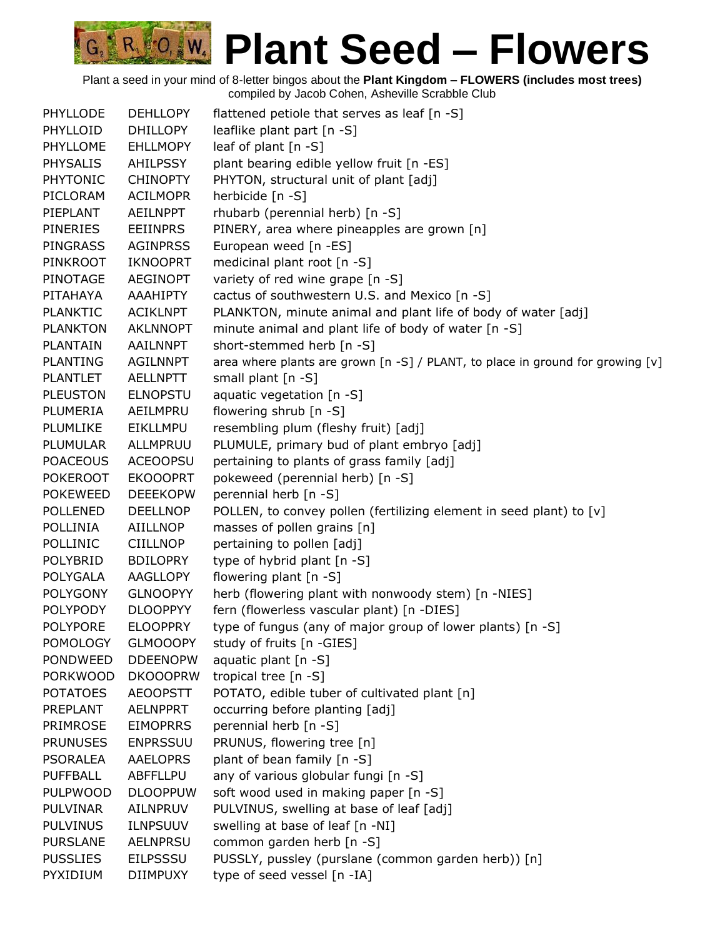| PHYLLODE        | <b>DEHLLOPY</b> | flattened petiole that serves as leaf [n -S]                                     |
|-----------------|-----------------|----------------------------------------------------------------------------------|
| PHYLLOID        | <b>DHILLOPY</b> | leaflike plant part [n -S]                                                       |
| PHYLLOME        | <b>EHLLMOPY</b> | leaf of plant $[n - S]$                                                          |
| <b>PHYSALIS</b> | <b>AHILPSSY</b> | plant bearing edible yellow fruit [n -ES]                                        |
| <b>PHYTONIC</b> | <b>CHINOPTY</b> | PHYTON, structural unit of plant [adj]                                           |
| PICLORAM        | <b>ACILMOPR</b> | herbicide [n -S]                                                                 |
| PIEPLANT        | AEILNPPT        | rhubarb (perennial herb) [n -S]                                                  |
| <b>PINERIES</b> | <b>EEIINPRS</b> | PINERY, area where pineapples are grown [n]                                      |
| <b>PINGRASS</b> | <b>AGINPRSS</b> | European weed [n -ES]                                                            |
| <b>PINKROOT</b> | <b>IKNOOPRT</b> | medicinal plant root [n -S]                                                      |
| PINOTAGE        | <b>AEGINOPT</b> | variety of red wine grape [n -S]                                                 |
| PITAHAYA        | AAAHIPTY        | cactus of southwestern U.S. and Mexico [n -S]                                    |
| <b>PLANKTIC</b> | <b>ACIKLNPT</b> | PLANKTON, minute animal and plant life of body of water [adj]                    |
| <b>PLANKTON</b> | <b>AKLNNOPT</b> | minute animal and plant life of body of water [n -S]                             |
| <b>PLANTAIN</b> | <b>AAILNNPT</b> | short-stemmed herb [n -S]                                                        |
| <b>PLANTING</b> | <b>AGILNNPT</b> | area where plants are grown [n -S] / PLANT, to place in ground for growing $[v]$ |
| <b>PLANTLET</b> | <b>AELLNPTT</b> | small plant [n -S]                                                               |
| <b>PLEUSTON</b> | <b>ELNOPSTU</b> | aquatic vegetation [n -S]                                                        |
| PLUMERIA        | AEILMPRU        | flowering shrub [n -S]                                                           |
| PLUMLIKE        | <b>EIKLLMPU</b> | resembling plum (fleshy fruit) [adj]                                             |
| PLUMULAR        | ALLMPRUU        | PLUMULE, primary bud of plant embryo [adj]                                       |
| <b>POACEOUS</b> | <b>ACEOOPSU</b> | pertaining to plants of grass family [adj]                                       |
| <b>POKEROOT</b> | <b>EKOOOPRT</b> | pokeweed (perennial herb) [n -S]                                                 |
| <b>POKEWEED</b> | <b>DEEEKOPW</b> | perennial herb [n -S]                                                            |
| <b>POLLENED</b> | <b>DEELLNOP</b> | POLLEN, to convey pollen (fertilizing element in seed plant) to [v]              |
| POLLINIA        | AIILLNOP        | masses of pollen grains [n]                                                      |
| <b>POLLINIC</b> | <b>CIILLNOP</b> | pertaining to pollen [adj]                                                       |
| POLYBRID        | <b>BDILOPRY</b> | type of hybrid plant [n -S]                                                      |
| POLYGALA        | <b>AAGLLOPY</b> | flowering plant [n -S]                                                           |
| <b>POLYGONY</b> | <b>GLNOOPYY</b> | herb (flowering plant with nonwoody stem) [n -NIES]                              |
| <b>POLYPODY</b> | <b>DLOOPPYY</b> | fern (flowerless vascular plant) [n -DIES]                                       |
| <b>POLYPORE</b> | <b>ELOOPPRY</b> | type of fungus (any of major group of lower plants) [n -S]                       |
| <b>POMOLOGY</b> | <b>GLMOOOPY</b> | study of fruits [n -GIES]                                                        |
| <b>PONDWEED</b> | <b>DDEENOPW</b> | aquatic plant [n -S]                                                             |
| <b>PORKWOOD</b> | <b>DKOOOPRW</b> | tropical tree [n -S]                                                             |
| <b>POTATOES</b> | <b>AEOOPSTT</b> | POTATO, edible tuber of cultivated plant [n]                                     |
| PREPLANT        | <b>AELNPPRT</b> | occurring before planting [adj]                                                  |
| PRIMROSE        | <b>EIMOPRRS</b> | perennial herb [n -S]                                                            |
| <b>PRUNUSES</b> | <b>ENPRSSUU</b> | PRUNUS, flowering tree [n]                                                       |
| <b>PSORALEA</b> | <b>AAELOPRS</b> | plant of bean family [n -S]                                                      |
| <b>PUFFBALL</b> | <b>ABFFLLPU</b> | any of various globular fungi [n -S]                                             |
| <b>PULPWOOD</b> | <b>DLOOPPUW</b> | soft wood used in making paper [n -S]                                            |
| <b>PULVINAR</b> | AILNPRUV        | PULVINUS, swelling at base of leaf [adj]                                         |
| <b>PULVINUS</b> | <b>ILNPSUUV</b> | swelling at base of leaf [n -NI]                                                 |
| <b>PURSLANE</b> | <b>AELNPRSU</b> | common garden herb [n -S]                                                        |
| <b>PUSSLIES</b> | <b>EILPSSSU</b> | PUSSLY, pussley (purslane (common garden herb)) [n]                              |
| PYXIDIUM        | <b>DIIMPUXY</b> | type of seed vessel [n -IA]                                                      |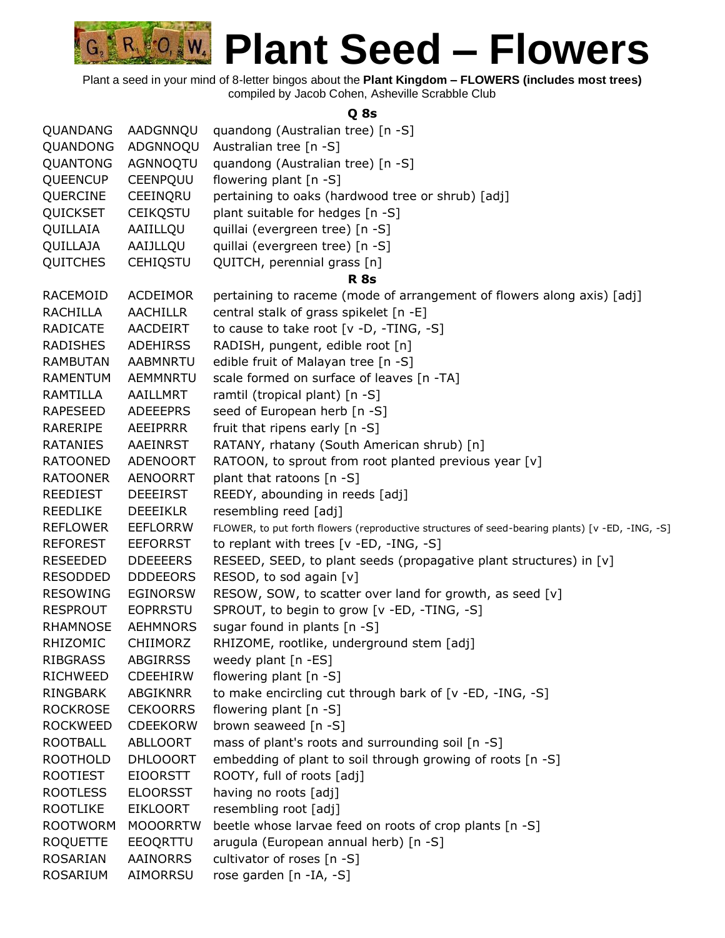Plant a seed in your mind of 8-letter bingos about the **Plant Kingdom – FLOWERS (includes most trees)** compiled by Jacob Cohen, Asheville Scrabble Club

#### **Q 8s**

| QUANDANG        | AADGNNQU        | quandong (Australian tree) [n -S]                                                               |
|-----------------|-----------------|-------------------------------------------------------------------------------------------------|
| QUANDONG        | ADGNNOQU        | Australian tree [n -S]                                                                          |
| QUANTONG        | AGNNOQTU        | quandong (Australian tree) [n -S]                                                               |
| <b>QUEENCUP</b> | CEENPQUU        | flowering plant [n -S]                                                                          |
| QUERCINE        | CEEINQRU        | pertaining to oaks (hardwood tree or shrub) [adj]                                               |
| QUICKSET        | <b>CEIKQSTU</b> | plant suitable for hedges [n -S]                                                                |
| QUILLAIA        | AAIILLQU        | quillai (evergreen tree) [n -S]                                                                 |
| QUILLAJA        | AAIJLLQU        | quillai (evergreen tree) [n -S]                                                                 |
| <b>QUITCHES</b> | <b>CEHIQSTU</b> | QUITCH, perennial grass [n]                                                                     |
|                 |                 | <b>R</b> 8s                                                                                     |
| RACEMOID        | <b>ACDEIMOR</b> | pertaining to raceme (mode of arrangement of flowers along axis) [adj]                          |
| <b>RACHILLA</b> | <b>AACHILLR</b> | central stalk of grass spikelet [n -E]                                                          |
| <b>RADICATE</b> | AACDEIRT        | to cause to take root [v -D, -TING, -S]                                                         |
| <b>RADISHES</b> | <b>ADEHIRSS</b> | RADISH, pungent, edible root [n]                                                                |
| <b>RAMBUTAN</b> | AABMNRTU        | edible fruit of Malayan tree [n -S]                                                             |
| <b>RAMENTUM</b> | <b>AEMMNRTU</b> | scale formed on surface of leaves [n -TA]                                                       |
| RAMTILLA        | AAILLMRT        | ramtil (tropical plant) [n -S]                                                                  |
| <b>RAPESEED</b> | <b>ADEEEPRS</b> | seed of European herb [n -S]                                                                    |
| RARERIPE        | AEEIPRRR        | fruit that ripens early [n -S]                                                                  |
| <b>RATANIES</b> | <b>AAEINRST</b> | RATANY, rhatany (South American shrub) [n]                                                      |
| <b>RATOONED</b> | <b>ADENOORT</b> | RATOON, to sprout from root planted previous year [v]                                           |
| <b>RATOONER</b> | <b>AENOORRT</b> | plant that ratoons [n -S]                                                                       |
| <b>REEDIEST</b> | <b>DEEEIRST</b> | REEDY, abounding in reeds [adj]                                                                 |
| <b>REEDLIKE</b> | <b>DEEEIKLR</b> | resembling reed [adj]                                                                           |
| <b>REFLOWER</b> | <b>EEFLORRW</b> | FLOWER, to put forth flowers (reproductive structures of seed-bearing plants) [v -ED, -ING, -S] |
| <b>REFOREST</b> | <b>EEFORRST</b> | to replant with trees [v -ED, -ING, -S]                                                         |
| <b>RESEEDED</b> | <b>DDEEEERS</b> | RESEED, SEED, to plant seeds (propagative plant structures) in [v]                              |
| <b>RESODDED</b> | <b>DDDEEORS</b> | RESOD, to sod again [v]                                                                         |
| <b>RESOWING</b> | <b>EGINORSW</b> | RESOW, SOW, to scatter over land for growth, as seed [v]                                        |
| <b>RESPROUT</b> | <b>EOPRRSTU</b> | SPROUT, to begin to grow [v -ED, -TING, -S]                                                     |
| <b>RHAMNOSE</b> | <b>AEHMNORS</b> | sugar found in plants [n -S]                                                                    |
| RHIZOMIC        | <b>CHIIMORZ</b> | RHIZOME, rootlike, underground stem [adj]                                                       |
| <b>RIBGRASS</b> | <b>ABGIRRSS</b> | weedy plant [n -ES]                                                                             |
| <b>RICHWEED</b> | CDEEHIRW        | flowering plant [n -S]                                                                          |
| RINGBARK        | ABGIKNRR        | to make encircling cut through bark of [v -ED, -ING, -S]                                        |
| <b>ROCKROSE</b> | <b>CEKOORRS</b> | flowering plant [n -S]                                                                          |
| <b>ROCKWEED</b> | <b>CDEEKORW</b> | brown seaweed [n -S]                                                                            |
| <b>ROOTBALL</b> | ABLLOORT        | mass of plant's roots and surrounding soil [n -S]                                               |
| <b>ROOTHOLD</b> | <b>DHLOOORT</b> | embedding of plant to soil through growing of roots [n -S]                                      |
| <b>ROOTIEST</b> | <b>EIOORSTT</b> | ROOTY, full of roots [adj]                                                                      |
| <b>ROOTLESS</b> | <b>ELOORSST</b> | having no roots [adj]                                                                           |
| <b>ROOTLIKE</b> | <b>EIKLOORT</b> | resembling root [adj]                                                                           |
| <b>ROOTWORM</b> | <b>MOOORRTW</b> | beetle whose larvae feed on roots of crop plants [n -S]                                         |
| <b>ROQUETTE</b> | EEOQRTTU        | arugula (European annual herb) [n -S]                                                           |
| <b>ROSARIAN</b> | AAINORRS        | cultivator of roses [n -S]                                                                      |
| ROSARIUM        | AIMORRSU        | rose garden [n -IA, -S]                                                                         |
|                 |                 |                                                                                                 |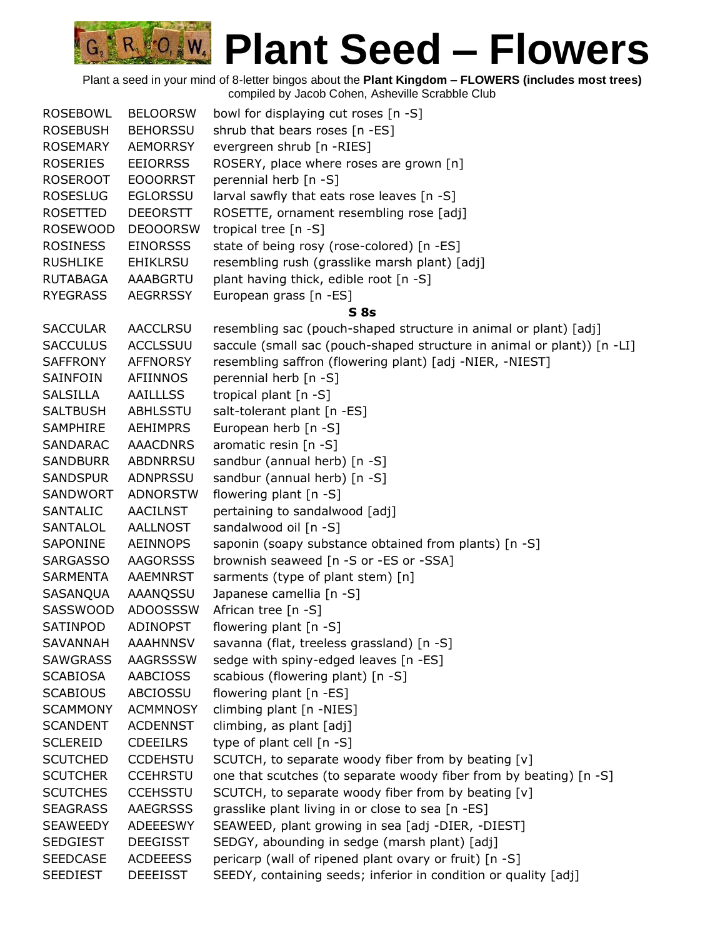Plant a seed in your mind of 8-letter bingos about the **Plant Kingdom – FLOWERS (includes most trees)** compiled by Jacob Cohen, Asheville Scrabble Club

R 0, W

| <b>ROSEBOWL</b> | <b>BELOORSW</b> | bowl for displaying cut roses [n -S]                                    |
|-----------------|-----------------|-------------------------------------------------------------------------|
| <b>ROSEBUSH</b> | <b>BEHORSSU</b> | shrub that bears roses [n -ES]                                          |
| ROSEMARY        | <b>AEMORRSY</b> | evergreen shrub [n -RIES]                                               |
| <b>ROSERIES</b> | <b>EEIORRSS</b> | ROSERY, place where roses are grown [n]                                 |
| <b>ROSEROOT</b> | <b>EOOORRST</b> | perennial herb [n -S]                                                   |
| <b>ROSESLUG</b> | <b>EGLORSSU</b> | larval sawfly that eats rose leaves [n -S]                              |
| ROSETTED        | <b>DEEORSTT</b> | ROSETTE, ornament resembling rose [adj]                                 |
| <b>ROSEWOOD</b> | <b>DEOOORSW</b> | tropical tree $[n - S]$                                                 |
| <b>ROSINESS</b> | <b>EINORSSS</b> | state of being rosy (rose-colored) [n -ES]                              |
| <b>RUSHLIKE</b> | <b>EHIKLRSU</b> | resembling rush (grasslike marsh plant) [adj]                           |
| RUTABAGA        | AAABGRTU        | plant having thick, edible root [n -S]                                  |
| <b>RYEGRASS</b> | <b>AEGRRSSY</b> | European grass [n -ES]                                                  |
|                 |                 | S <sub>8s</sub>                                                         |
| <b>SACCULAR</b> | <b>AACCLRSU</b> | resembling sac (pouch-shaped structure in animal or plant) [adj]        |
| <b>SACCULUS</b> | <b>ACCLSSUU</b> | saccule (small sac (pouch-shaped structure in animal or plant)) [n -LI] |
| SAFFRONY        | <b>AFFNORSY</b> | resembling saffron (flowering plant) [adj -NIER, -NIEST]                |
| SAINFOIN        | AFIINNOS        | perennial herb [n -S]                                                   |
| SALSILLA        | AAILLLSS        | tropical plant [n -S]                                                   |
| <b>SALTBUSH</b> | ABHLSSTU        | salt-tolerant plant [n -ES]                                             |
| SAMPHIRE        | <b>AEHIMPRS</b> | European herb [n -S]                                                    |
| <b>SANDARAC</b> | <b>AAACDNRS</b> | aromatic resin [n -S]                                                   |
| <b>SANDBURR</b> | <b>ABDNRRSU</b> | sandbur (annual herb) [n -S]                                            |
| <b>SANDSPUR</b> | <b>ADNPRSSU</b> | sandbur (annual herb) [n -S]                                            |
| SANDWORT        | <b>ADNORSTW</b> | flowering plant [n -S]                                                  |
| SANTALIC        | <b>AACILNST</b> | pertaining to sandalwood [adj]                                          |
| SANTALOL        | AALLNOST        | sandalwood oil [n -S]                                                   |
| SAPONINE        | AEINNOPS        | saponin (soapy substance obtained from plants) [n -S]                   |
| <b>SARGASSO</b> | <b>AAGORSSS</b> | brownish seaweed [n -S or -ES or -SSA]                                  |
| <b>SARMENTA</b> | AAEMNRST        | sarments (type of plant stem) [n]                                       |
| SASANQUA        | AAANQSSU        | Japanese camellia [n -S]                                                |
| SASSWOOD        | <b>ADOOSSSW</b> | African tree [n -S]                                                     |
| SATINPOD        | ADINOPST        | flowering plant [n -S]                                                  |
| <b>SAVANNAH</b> | <b>AAAHNNSV</b> | savanna (flat, treeless grassland) [n -S]                               |
| <b>SAWGRASS</b> | <b>AAGRSSSW</b> | sedge with spiny-edged leaves [n -ES]                                   |
| <b>SCABIOSA</b> | <b>AABCIOSS</b> | scabious (flowering plant) [n -S]                                       |
| <b>SCABIOUS</b> | ABCIOSSU        | flowering plant [n -ES]                                                 |
| <b>SCAMMONY</b> | <b>ACMMNOSY</b> | climbing plant [n -NIES]                                                |
| <b>SCANDENT</b> | <b>ACDENNST</b> | climbing, as plant [adj]                                                |
| <b>SCLEREID</b> | <b>CDEEILRS</b> | type of plant cell [n -S]                                               |
| <b>SCUTCHED</b> | <b>CCDEHSTU</b> | SCUTCH, to separate woody fiber from by beating [v]                     |
| <b>SCUTCHER</b> | <b>CCEHRSTU</b> | one that scutches (to separate woody fiber from by beating) [n -S]      |
| <b>SCUTCHES</b> | <b>CCEHSSTU</b> | SCUTCH, to separate woody fiber from by beating [v]                     |
| <b>SEAGRASS</b> | <b>AAEGRSSS</b> | grasslike plant living in or close to sea [n -ES]                       |
| <b>SEAWEEDY</b> | <b>ADEEESWY</b> | SEAWEED, plant growing in sea [adj -DIER, -DIEST]                       |
| <b>SEDGIEST</b> | <b>DEEGISST</b> | SEDGY, abounding in sedge (marsh plant) [adj]                           |
| <b>SEEDCASE</b> | <b>ACDEEESS</b> | pericarp (wall of ripened plant ovary or fruit) [n -S]                  |
| <b>SEEDIEST</b> | <b>DEEEISST</b> | SEEDY, containing seeds; inferior in condition or quality [adj]         |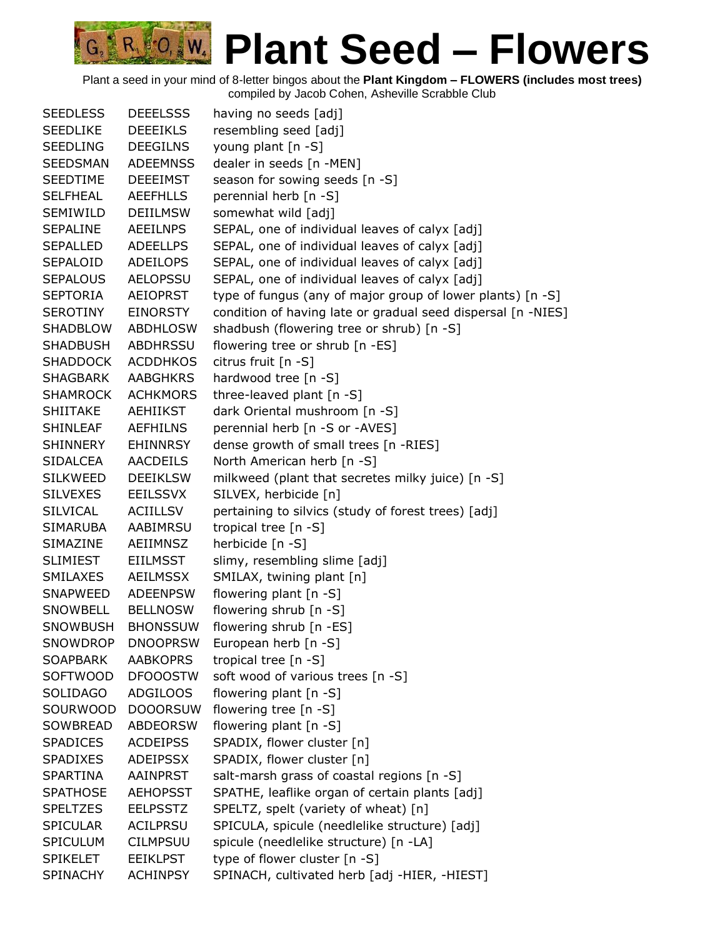| <b>SEEDLESS</b> | <b>DEEELSSS</b> | having no seeds [adj]                                        |
|-----------------|-----------------|--------------------------------------------------------------|
| <b>SEEDLIKE</b> | <b>DEEEIKLS</b> | resembling seed [adj]                                        |
| <b>SEEDLING</b> | <b>DEEGILNS</b> | young plant [n -S]                                           |
| <b>SEEDSMAN</b> | <b>ADEEMNSS</b> | dealer in seeds [n -MEN]                                     |
| <b>SEEDTIME</b> | <b>DEEEIMST</b> | season for sowing seeds [n -S]                               |
| <b>SELFHEAL</b> | <b>AEEFHLLS</b> | perennial herb [n -S]                                        |
| SEMIWILD        | <b>DEIILMSW</b> | somewhat wild [adj]                                          |
| <b>SEPALINE</b> | <b>AEEILNPS</b> | SEPAL, one of individual leaves of calyx [adj]               |
| <b>SEPALLED</b> | <b>ADEELLPS</b> | SEPAL, one of individual leaves of calyx [adj]               |
| SEPALOID        | <b>ADEILOPS</b> | SEPAL, one of individual leaves of calyx [adj]               |
| <b>SEPALOUS</b> | <b>AELOPSSU</b> | SEPAL, one of individual leaves of calyx [adj]               |
| <b>SEPTORIA</b> | <b>AEIOPRST</b> | type of fungus (any of major group of lower plants) [n -S]   |
| <b>SEROTINY</b> | <b>EINORSTY</b> | condition of having late or gradual seed dispersal [n -NIES] |
| SHADBLOW        | ABDHLOSW        | shadbush (flowering tree or shrub) [n -S]                    |
| SHADBUSH        | ABDHRSSU        | flowering tree or shrub [n -ES]                              |
| SHADDOCK        | <b>ACDDHKOS</b> | citrus fruit [n -S]                                          |
| SHAGBARK        | <b>AABGHKRS</b> | hardwood tree [n -S]                                         |
| <b>SHAMROCK</b> | <b>ACHKMORS</b> | three-leaved plant [n -S]                                    |
| <b>SHIITAKE</b> | <b>AEHIIKST</b> | dark Oriental mushroom [n -S]                                |
| <b>SHINLEAF</b> | <b>AEFHILNS</b> | perennial herb [n -S or -AVES]                               |
| SHINNERY        | <b>EHINNRSY</b> | dense growth of small trees [n -RIES]                        |
| <b>SIDALCEA</b> | AACDEILS        | North American herb [n -S]                                   |
| <b>SILKWEED</b> | <b>DEEIKLSW</b> | milkweed (plant that secretes milky juice) [n -S]            |
| <b>SILVEXES</b> | <b>EEILSSVX</b> | SILVEX, herbicide [n]                                        |
| <b>SILVICAL</b> | <b>ACIILLSV</b> | pertaining to silvics (study of forest trees) [adj]          |
| SIMARUBA        | AABIMRSU        | tropical tree $[n - S]$                                      |
| SIMAZINE        | AEIIMNSZ        | herbicide [n -S]                                             |
| <b>SLIMIEST</b> | <b>EIILMSST</b> | slimy, resembling slime [adj]                                |
| <b>SMILAXES</b> | <b>AEILMSSX</b> | SMILAX, twining plant [n]                                    |
| SNAPWEED        | <b>ADEENPSW</b> | flowering plant $[n - S]$                                    |
| SNOWBELL        | <b>BELLNOSW</b> | flowering shrub [n -S]                                       |
| <b>SNOWBUSH</b> | <b>BHONSSUW</b> | flowering shrub [n -ES]                                      |
| <b>SNOWDROP</b> | <b>DNOOPRSW</b> | European herb [n -S]                                         |
| <b>SOAPBARK</b> | <b>AABKOPRS</b> | tropical tree [n -S]                                         |
| <b>SOFTWOOD</b> | <b>DFOOOSTW</b> | soft wood of various trees [n -S]                            |
| <b>SOLIDAGO</b> | ADGILOOS        | flowering plant $[n -S]$                                     |
| SOURWOOD        | <b>DOOORSUW</b> | flowering tree [n -S]                                        |
| SOWBREAD        | <b>ABDEORSW</b> | flowering plant [n -S]                                       |
| <b>SPADICES</b> | <b>ACDEIPSS</b> | SPADIX, flower cluster [n]                                   |
| <b>SPADIXES</b> | <b>ADEIPSSX</b> | SPADIX, flower cluster [n]                                   |
| <b>SPARTINA</b> | <b>AAINPRST</b> | salt-marsh grass of coastal regions [n -S]                   |
| <b>SPATHOSE</b> | <b>AEHOPSST</b> | SPATHE, leaflike organ of certain plants [adj]               |
| <b>SPELTZES</b> | <b>EELPSSTZ</b> | SPELTZ, spelt (variety of wheat) [n]                         |
| <b>SPICULAR</b> | <b>ACILPRSU</b> | SPICULA, spicule (needlelike structure) [adj]                |
| SPICULUM        | <b>CILMPSUU</b> | spicule (needlelike structure) [n -LA]                       |
| <b>SPIKELET</b> | <b>EEIKLPST</b> | type of flower cluster [n -S]                                |
| <b>SPINACHY</b> | <b>ACHINPSY</b> | SPINACH, cultivated herb [adj -HIER, -HIEST]                 |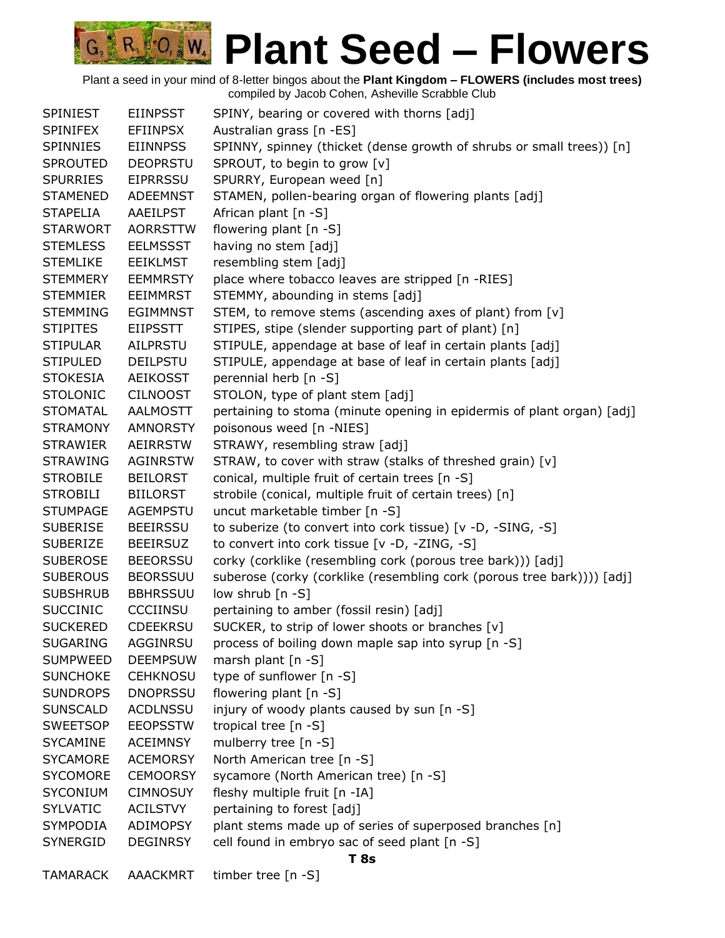| <b>SPINIEST</b> | <b>EIINPSST</b> | SPINY, bearing or covered with thorns [adj]                            |
|-----------------|-----------------|------------------------------------------------------------------------|
| <b>SPINIFEX</b> | <b>EFIINPSX</b> | Australian grass [n -ES]                                               |
| <b>SPINNIES</b> | <b>EIINNPSS</b> | SPINNY, spinney (thicket (dense growth of shrubs or small trees)) [n]  |
| <b>SPROUTED</b> | <b>DEOPRSTU</b> | SPROUT, to begin to grow [v]                                           |
| <b>SPURRIES</b> | <b>EIPRRSSU</b> | SPURRY, European weed [n]                                              |
| <b>STAMENED</b> | <b>ADEEMNST</b> | STAMEN, pollen-bearing organ of flowering plants [adj]                 |
| <b>STAPELIA</b> | AAEILPST        | African plant [n -S]                                                   |
| <b>STARWORT</b> | <b>AORRSTTW</b> | flowering plant [n -S]                                                 |
| <b>STEMLESS</b> | <b>EELMSSST</b> | having no stem [adj]                                                   |
| <b>STEMLIKE</b> | <b>EEIKLMST</b> | resembling stem [adj]                                                  |
| <b>STEMMERY</b> | <b>EEMMRSTY</b> | place where tobacco leaves are stripped [n -RIES]                      |
| <b>STEMMIER</b> | <b>EEIMMRST</b> | STEMMY, abounding in stems [adj]                                       |
| <b>STEMMING</b> | <b>EGIMMNST</b> | STEM, to remove stems (ascending axes of plant) from [v]               |
| <b>STIPITES</b> | <b>EIIPSSTT</b> | STIPES, stipe (slender supporting part of plant) [n]                   |
| <b>STIPULAR</b> | AILPRSTU        | STIPULE, appendage at base of leaf in certain plants [adj]             |
| <b>STIPULED</b> | <b>DEILPSTU</b> | STIPULE, appendage at base of leaf in certain plants [adj]             |
| <b>STOKESIA</b> | <b>AEIKOSST</b> | perennial herb [n -S]                                                  |
| <b>STOLONIC</b> | <b>CILNOOST</b> | STOLON, type of plant stem [adj]                                       |
| <b>STOMATAL</b> | <b>AALMOSTT</b> | pertaining to stoma (minute opening in epidermis of plant organ) [adj] |
| <b>STRAMONY</b> | <b>AMNORSTY</b> | poisonous weed [n -NIES]                                               |
| <b>STRAWIER</b> | <b>AEIRRSTW</b> | STRAWY, resembling straw [adj]                                         |
| <b>STRAWING</b> | <b>AGINRSTW</b> | STRAW, to cover with straw (stalks of threshed grain) [v]              |
| <b>STROBILE</b> | <b>BEILORST</b> | conical, multiple fruit of certain trees [n -S]                        |
| <b>STROBILI</b> | <b>BIILORST</b> | strobile (conical, multiple fruit of certain trees) [n]                |
| <b>STUMPAGE</b> | <b>AGEMPSTU</b> | uncut marketable timber [n -S]                                         |
| <b>SUBERISE</b> | <b>BEEIRSSU</b> | to suberize (to convert into cork tissue) [v -D, -SING, -S]            |
| <b>SUBERIZE</b> | <b>BEEIRSUZ</b> | to convert into cork tissue [v -D, -ZING, -S]                          |
| <b>SUBEROSE</b> | <b>BEEORSSU</b> | corky (corklike (resembling cork (porous tree bark))) [adj]            |
| <b>SUBEROUS</b> | <b>BEORSSUU</b> | suberose (corky (corklike (resembling cork (porous tree bark)))) [adj] |
| <b>SUBSHRUB</b> | <b>BBHRSSUU</b> | low shrub [n -S]                                                       |
| <b>SUCCINIC</b> | CCCIINSU        | pertaining to amber (fossil resin) [adj]                               |
| <b>SUCKERED</b> | <b>CDEEKRSU</b> | SUCKER, to strip of lower shoots or branches [v]                       |
| <b>SUGARING</b> | AGGINRSU        | process of boiling down maple sap into syrup [n -S]                    |
| <b>SUMPWEED</b> | <b>DEEMPSUW</b> | marsh plant $[n - S]$                                                  |
| <b>SUNCHOKE</b> | <b>CEHKNOSU</b> | type of sunflower [n -S]                                               |
| <b>SUNDROPS</b> | <b>DNOPRSSU</b> | flowering plant [n -S]                                                 |
| <b>SUNSCALD</b> | <b>ACDLNSSU</b> | injury of woody plants caused by sun [n -S]                            |
| <b>SWEETSOP</b> | <b>EEOPSSTW</b> | tropical tree [n -S]                                                   |
| <b>SYCAMINE</b> | <b>ACEIMNSY</b> | mulberry tree [n -S]                                                   |
| <b>SYCAMORE</b> | <b>ACEMORSY</b> | North American tree [n -S]                                             |
| <b>SYCOMORE</b> | <b>CEMOORSY</b> | sycamore (North American tree) [n -S]                                  |
| <b>SYCONIUM</b> | <b>CIMNOSUY</b> | fleshy multiple fruit [n -IA]                                          |
| <b>SYLVATIC</b> | ACILSTVY        | pertaining to forest [adj]                                             |
| SYMPODIA        | ADIMOPSY        | plant stems made up of series of superposed branches [n]               |
| SYNERGID        | <b>DEGINRSY</b> | cell found in embryo sac of seed plant [n -S]                          |
|                 |                 | <b>T</b> 8s                                                            |
| TAMARACK        | AAACKMRT        | timber tree [n -S]                                                     |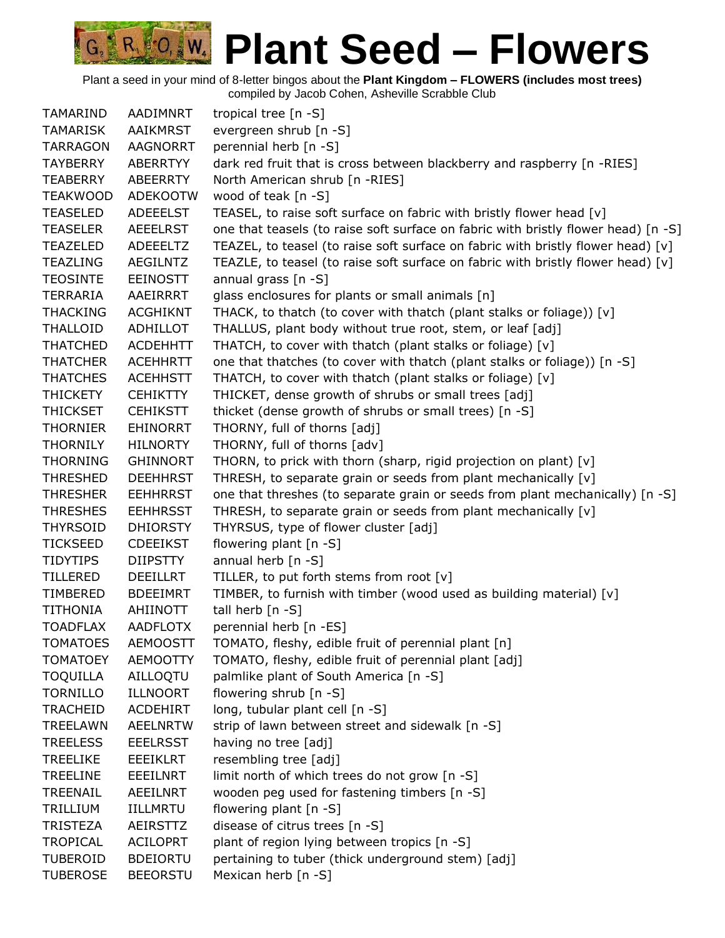| TAMARIND                           | AADIMNRT                           | tropical tree [n -S]                                                                                                                                                   |
|------------------------------------|------------------------------------|------------------------------------------------------------------------------------------------------------------------------------------------------------------------|
| TAMARISK                           | AAIKMRST                           | evergreen shrub [n -S]                                                                                                                                                 |
| <b>TARRAGON</b>                    | <b>AAGNORRT</b>                    | perennial herb [n -S]                                                                                                                                                  |
| <b>TAYBERRY</b>                    | ABERRTYY                           | dark red fruit that is cross between blackberry and raspberry [n -RIES]                                                                                                |
| <b>TEABERRY</b>                    |                                    | North American shrub [n -RIES]                                                                                                                                         |
|                                    | ABEERRTY                           |                                                                                                                                                                        |
| <b>TEAKWOOD</b>                    | <b>ADEKOOTW</b>                    | wood of teak [n -S]                                                                                                                                                    |
| <b>TEASELED</b><br><b>TEASELER</b> | ADEEELST                           | TEASEL, to raise soft surface on fabric with bristly flower head [v]                                                                                                   |
|                                    | <b>AEEELRST</b><br>ADEEELTZ        | one that teasels (to raise soft surface on fabric with bristly flower head) [n -S]<br>TEAZEL, to teasel (to raise soft surface on fabric with bristly flower head) [v] |
| <b>TEAZELED</b><br><b>TEAZLING</b> | <b>AEGILNTZ</b>                    |                                                                                                                                                                        |
|                                    |                                    | TEAZLE, to teasel (to raise soft surface on fabric with bristly flower head) [v]<br>annual grass $[n - S]$                                                             |
| <b>TEOSINTE</b>                    | <b>EEINOSTT</b>                    |                                                                                                                                                                        |
| TERRARIA                           | AAEIRRRT                           | glass enclosures for plants or small animals [n]                                                                                                                       |
| <b>THACKING</b>                    | <b>ACGHIKNT</b>                    | THACK, to thatch (to cover with thatch (plant stalks or foliage)) [v]                                                                                                  |
| <b>THALLOID</b>                    | ADHILLOT                           | THALLUS, plant body without true root, stem, or leaf [adj]                                                                                                             |
| <b>THATCHED</b><br><b>THATCHER</b> | <b>ACDEHHTT</b>                    | THATCH, to cover with thatch (plant stalks or foliage) [v]                                                                                                             |
| <b>THATCHES</b>                    | <b>ACEHHRTT</b>                    | one that thatches (to cover with thatch (plant stalks or foliage)) [n -S]                                                                                              |
|                                    | <b>ACEHHSTT</b>                    | THATCH, to cover with thatch (plant stalks or foliage) [v]                                                                                                             |
| <b>THICKETY</b>                    | <b>CEHIKTTY</b>                    | THICKET, dense growth of shrubs or small trees [adj]                                                                                                                   |
| THICKSET                           | <b>CEHIKSTT</b>                    | thicket (dense growth of shrubs or small trees) [n -S]                                                                                                                 |
| <b>THORNIER</b>                    | <b>EHINORRT</b>                    | THORNY, full of thorns [adj]                                                                                                                                           |
| <b>THORNILY</b><br><b>THORNING</b> | <b>HILNORTY</b><br><b>GHINNORT</b> | THORNY, full of thorns [adv]                                                                                                                                           |
|                                    |                                    | THORN, to prick with thorn (sharp, rigid projection on plant) [v]                                                                                                      |
| <b>THRESHED</b>                    | <b>DEEHHRST</b>                    | THRESH, to separate grain or seeds from plant mechanically [v]                                                                                                         |
| <b>THRESHER</b>                    | <b>EEHHRRST</b>                    | one that threshes (to separate grain or seeds from plant mechanically) [n -S]                                                                                          |
| <b>THRESHES</b>                    | <b>EEHHRSST</b>                    | THRESH, to separate grain or seeds from plant mechanically [v]                                                                                                         |
| <b>THYRSOID</b><br><b>TICKSEED</b> | <b>DHIORSTY</b><br><b>CDEEIKST</b> | THYRSUS, type of flower cluster [adj]<br>flowering plant [n -S]                                                                                                        |
| <b>TIDYTIPS</b>                    | <b>DIIPSTTY</b>                    |                                                                                                                                                                        |
| <b>TILLERED</b>                    | <b>DEEILLRT</b>                    | annual herb $[n - S]$<br>TILLER, to put forth stems from root [v]                                                                                                      |
| TIMBERED                           | <b>BDEEIMRT</b>                    | TIMBER, to furnish with timber (wood used as building material) [v]                                                                                                    |
| <b>TITHONIA</b>                    | AHIINOTT                           | tall herb $[n -S]$                                                                                                                                                     |
| <b>TOADFLAX</b>                    | <b>AADFLOTX</b>                    | perennial herb [n -ES]                                                                                                                                                 |
| <b>TOMATOES</b>                    | <b>AEMOOSTT</b>                    | TOMATO, fleshy, edible fruit of perennial plant [n]                                                                                                                    |
| <b>TOMATOEY</b>                    | <b>AEMOOTTY</b>                    | TOMATO, fleshy, edible fruit of perennial plant [adj]                                                                                                                  |
| <b>TOQUILLA</b>                    | <b>AILLOOTU</b>                    | palmlike plant of South America [n -S]                                                                                                                                 |
| <b>TORNILLO</b>                    | <b>ILLNOORT</b>                    | flowering shrub [n -S]                                                                                                                                                 |
| <b>TRACHEID</b>                    | <b>ACDEHIRT</b>                    | long, tubular plant cell [n -S]                                                                                                                                        |
| TREELAWN                           | <b>AEELNRTW</b>                    | strip of lawn between street and sidewalk [n -S]                                                                                                                       |
| <b>TREELESS</b>                    | <b>EEELRSST</b>                    | having no tree [adj]                                                                                                                                                   |
| <b>TREELIKE</b>                    | <b>EEEIKLRT</b>                    | resembling tree [adj]                                                                                                                                                  |
| <b>TREELINE</b>                    | <b>EEEILNRT</b>                    | limit north of which trees do not grow [n -S]                                                                                                                          |
| <b>TREENAIL</b>                    | <b>AEEILNRT</b>                    | wooden peg used for fastening timbers [n -S]                                                                                                                           |
| TRILLIUM                           | <b>IILLMRTU</b>                    | flowering plant [n -S]                                                                                                                                                 |
| <b>TRISTEZA</b>                    | AEIRSTTZ                           | disease of citrus trees [n -S]                                                                                                                                         |
| <b>TROPICAL</b>                    | <b>ACILOPRT</b>                    | plant of region lying between tropics [n -S]                                                                                                                           |
| <b>TUBEROID</b>                    | <b>BDEIORTU</b>                    | pertaining to tuber (thick underground stem) [adj]                                                                                                                     |
| <b>TUBEROSE</b>                    | <b>BEEORSTU</b>                    | Mexican herb [n -S]                                                                                                                                                    |
|                                    |                                    |                                                                                                                                                                        |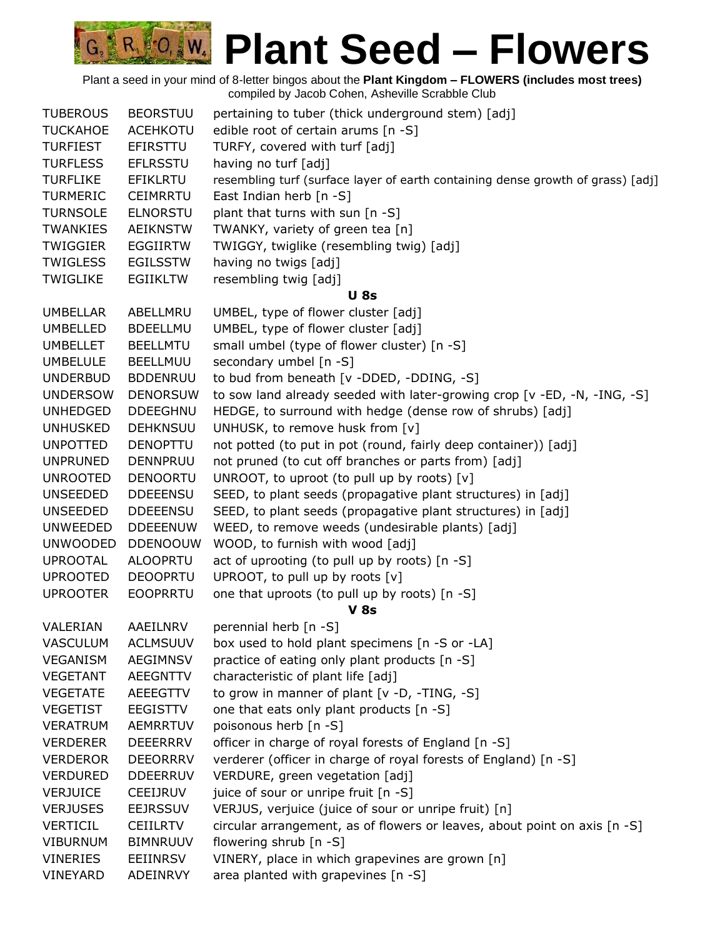Plant a seed in your mind of 8-letter bingos about the **Plant Kingdom – FLOWERS (includes most trees)** compiled by Jacob Cohen, Asheville Scrabble Club

R 0, W

| <b>TUBEROUS</b> | <b>BEORSTUU</b> | pertaining to tuber (thick underground stem) [adj]                              |
|-----------------|-----------------|---------------------------------------------------------------------------------|
| <b>TUCKAHOE</b> | <b>ACEHKOTU</b> | edible root of certain arums [n -S]                                             |
| <b>TURFIEST</b> | EFIRSTTU        | TURFY, covered with turf [adj]                                                  |
| <b>TURFLESS</b> | <b>EFLRSSTU</b> | having no turf [adj]                                                            |
| <b>TURFLIKE</b> | <b>EFIKLRTU</b> | resembling turf (surface layer of earth containing dense growth of grass) [adj] |
| <b>TURMERIC</b> | <b>CEIMRRTU</b> | East Indian herb [n -S]                                                         |
| <b>TURNSOLE</b> | <b>ELNORSTU</b> | plant that turns with sun [n -S]                                                |
| <b>TWANKIES</b> | <b>AEIKNSTW</b> | TWANKY, variety of green tea [n]                                                |
| <b>TWIGGIER</b> | <b>EGGIIRTW</b> | TWIGGY, twiglike (resembling twig) [adj]                                        |
| <b>TWIGLESS</b> | <b>EGILSSTW</b> | having no twigs [adj]                                                           |
| <b>TWIGLIKE</b> | <b>EGIIKLTW</b> | resembling twig [adj]                                                           |
|                 |                 | <b>U</b> 8s                                                                     |
| <b>UMBELLAR</b> | ABELLMRU        | UMBEL, type of flower cluster [adj]                                             |
| <b>UMBELLED</b> | <b>BDEELLMU</b> | UMBEL, type of flower cluster [adj]                                             |
| <b>UMBELLET</b> | <b>BEELLMTU</b> | small umbel (type of flower cluster) [n -S]                                     |
| <b>UMBELULE</b> | BEELLMUU        | secondary umbel [n -S]                                                          |
| <b>UNDERBUD</b> | <b>BDDENRUU</b> | to bud from beneath [v -DDED, -DDING, -S]                                       |
| <b>UNDERSOW</b> | <b>DENORSUW</b> | to sow land already seeded with later-growing crop [v -ED, -N, -ING, -S]        |
| <b>UNHEDGED</b> | <b>DDEEGHNU</b> | HEDGE, to surround with hedge (dense row of shrubs) [adj]                       |
| <b>UNHUSKED</b> | <b>DEHKNSUU</b> | UNHUSK, to remove husk from [v]                                                 |
| <b>UNPOTTED</b> | <b>DENOPTTU</b> | not potted (to put in pot (round, fairly deep container)) [adj]                 |
| <b>UNPRUNED</b> | <b>DENNPRUU</b> | not pruned (to cut off branches or parts from) [adj]                            |
| <b>UNROOTED</b> | <b>DENOORTU</b> | UNROOT, to uproot (to pull up by roots) [v]                                     |
| <b>UNSEEDED</b> | <b>DDEEENSU</b> | SEED, to plant seeds (propagative plant structures) in [adj]                    |
| <b>UNSEEDED</b> | <b>DDEEENSU</b> | SEED, to plant seeds (propagative plant structures) in [adj]                    |
| <b>UNWEEDED</b> | <b>DDEEENUW</b> | WEED, to remove weeds (undesirable plants) [adj]                                |
| <b>UNWOODED</b> | <b>DDENOOUW</b> | WOOD, to furnish with wood [adj]                                                |
| <b>UPROOTAL</b> | <b>ALOOPRTU</b> | act of uprooting (to pull up by roots) [n -S]                                   |
| <b>UPROOTED</b> | <b>DEOOPRTU</b> | UPROOT, to pull up by roots [v]                                                 |
| <b>UPROOTER</b> | <b>EOOPRRTU</b> | one that uproots (to pull up by roots) [n -S]                                   |
|                 |                 | <b>V 8s</b>                                                                     |
| VALERIAN        | AAEILNRV        | perennial herb [n -S]                                                           |
| <b>VASCULUM</b> | <b>ACLMSUUV</b> | box used to hold plant specimens [n -S or -LA]                                  |
| VEGANISM        | <b>AEGIMNSV</b> | practice of eating only plant products [n -S]                                   |
| <b>VEGETANT</b> | AEEGNTTV        | characteristic of plant life [adj]                                              |
| <b>VEGETATE</b> | AEEEGTTV        | to grow in manner of plant [v -D, -TING, -S]                                    |
| <b>VEGETIST</b> | <b>EEGISTTV</b> | one that eats only plant products [n -S]                                        |
| <b>VERATRUM</b> | <b>AEMRRTUV</b> | poisonous herb [n -S]                                                           |
| <b>VERDERER</b> | <b>DEEERRRV</b> | officer in charge of royal forests of England [n -S]                            |
| <b>VERDEROR</b> | <b>DEEORRRV</b> | verderer (officer in charge of royal forests of England) [n -S]                 |
| <b>VERDURED</b> | <b>DDEERRUV</b> | VERDURE, green vegetation [adj]                                                 |
| <b>VERJUICE</b> | <b>CEEIJRUV</b> | juice of sour or unripe fruit [n -S]                                            |
| <b>VERJUSES</b> | <b>EEJRSSUV</b> | VERJUS, verjuice (juice of sour or unripe fruit) [n]                            |
| <b>VERTICIL</b> | <b>CEIILRTV</b> | circular arrangement, as of flowers or leaves, about point on axis [n -S]       |
| <b>VIBURNUM</b> | <b>BIMNRUUV</b> | flowering shrub [n -S]                                                          |
| <b>VINERIES</b> | <b>EEIINRSV</b> | VINERY, place in which grapevines are grown [n]                                 |
| VINEYARD        | ADEINRVY        | area planted with grapevines [n -S]                                             |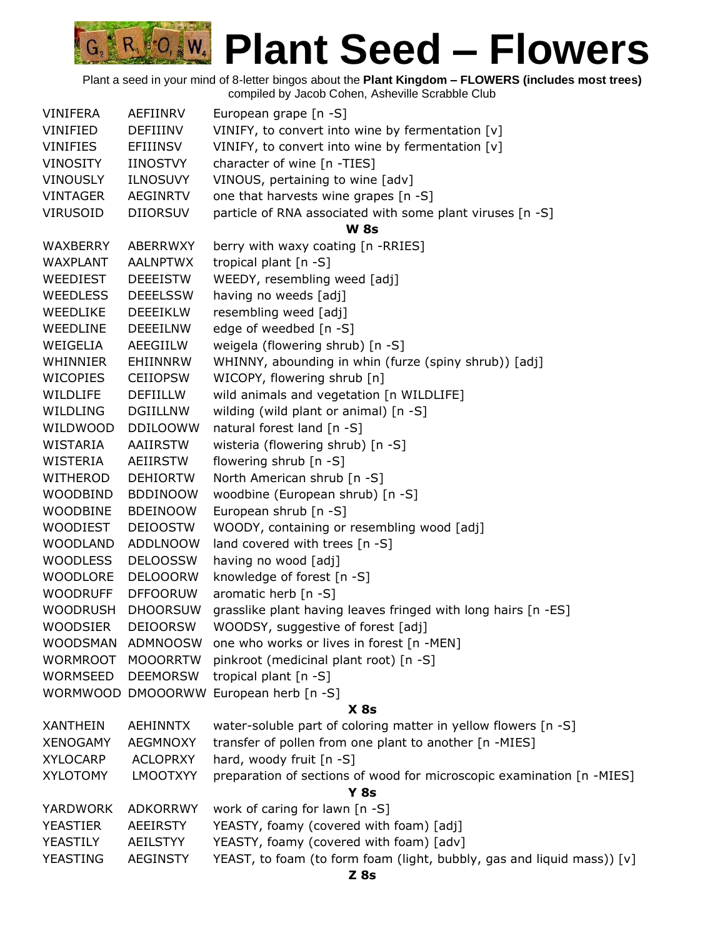# **CO. W. Plant Seed – Flowers**

| <b>VINIFERA</b> | AEFIINRV        | European grape [n -S]                                                  |
|-----------------|-----------------|------------------------------------------------------------------------|
| VINIFIED        | DEFIIINV        | VINIFY, to convert into wine by fermentation [v]                       |
| <b>VINIFIES</b> | EFIIINSV        | VINIFY, to convert into wine by fermentation [v]                       |
| <b>VINOSITY</b> | IINOSTVY        | character of wine [n -TIES]                                            |
| <b>VINOUSLY</b> | <b>ILNOSUVY</b> | VINOUS, pertaining to wine [adv]                                       |
| VINTAGER        | <b>AEGINRTV</b> | one that harvests wine grapes [n -S]                                   |
| <b>VIRUSOID</b> | <b>DIIORSUV</b> | particle of RNA associated with some plant viruses [n -S]              |
|                 |                 | <b>W</b> 8s                                                            |
| WAXBERRY        | ABERRWXY        | berry with waxy coating [n -RRIES]                                     |
| WAXPLANT        | <b>AALNPTWX</b> | tropical plant [n -S]                                                  |
| WEEDIEST        | <b>DEEEISTW</b> | WEEDY, resembling weed [adj]                                           |
| <b>WEEDLESS</b> | <b>DEEELSSW</b> | having no weeds [adj]                                                  |
| WEEDLIKE        | <b>DEEEIKLW</b> | resembling weed [adj]                                                  |
| WEEDLINE        | <b>DEEEILNW</b> | edge of weedbed [n -S]                                                 |
| WEIGELIA        | AEEGIILW        | weigela (flowering shrub) [n -S]                                       |
| WHINNIER        | EHIINNRW        | WHINNY, abounding in whin (furze (spiny shrub)) [adj]                  |
| <b>WICOPIES</b> | <b>CEIIOPSW</b> | WICOPY, flowering shrub [n]                                            |
| WILDLIFE        | DEFIILLW        | wild animals and vegetation [n WILDLIFE]                               |
| WILDLING        | <b>DGIILLNW</b> | wilding (wild plant or animal) [n -S]                                  |
| WILDWOOD        | <b>DDILOOWW</b> | natural forest land [n -S]                                             |
| WISTARIA        | AAIIRSTW        | wisteria (flowering shrub) [n -S]                                      |
| WISTERIA        | AEIIRSTW        | flowering shrub [n -S]                                                 |
| WITHEROD        | <b>DEHIORTW</b> | North American shrub [n -S]                                            |
| <b>WOODBIND</b> | <b>BDDINOOW</b> | woodbine (European shrub) [n -S]                                       |
| <b>WOODBINE</b> | <b>BDEINOOW</b> | European shrub [n -S]                                                  |
| <b>WOODIEST</b> | <b>DEIOOSTW</b> | WOODY, containing or resembling wood [adj]                             |
| <b>WOODLAND</b> | <b>ADDLNOOW</b> | land covered with trees [n -S]                                         |
| <b>WOODLESS</b> | <b>DELOOSSW</b> | having no wood [adj]                                                   |
| <b>WOODLORE</b> | <b>DELOOORW</b> | knowledge of forest [n -S]                                             |
| <b>WOODRUFF</b> | <b>DFFOORUW</b> | aromatic herb [n -S]                                                   |
| <b>WOODRUSH</b> | <b>DHOORSUW</b> | grasslike plant having leaves fringed with long hairs [n -ES]          |
| <b>WOODSIER</b> | <b>DEIOORSW</b> | WOODSY, suggestive of forest [adj]                                     |
| <b>WOODSMAN</b> | ADMNOOSW        | one who works or lives in forest [n -MEN]                              |
| <b>WORMROOT</b> | <b>MOOORRTW</b> | pinkroot (medicinal plant root) [n -S]                                 |
| WORMSEED        | <b>DEEMORSW</b> | tropical plant [n -S]                                                  |
| <b>WORMWOOD</b> | <b>DMOOORWW</b> | European herb [n -S]                                                   |
|                 |                 | $X$ 8s                                                                 |
| <b>XANTHEIN</b> | <b>AEHINNTX</b> | water-soluble part of coloring matter in yellow flowers [n -S]         |
| <b>XENOGAMY</b> | <b>AEGMNOXY</b> | transfer of pollen from one plant to another [n -MIES]                 |
| <b>XYLOCARP</b> | <b>ACLOPRXY</b> | hard, woody fruit [n -S]                                               |
| <b>XYLOTOMY</b> | <b>LMOOTXYY</b> | preparation of sections of wood for microscopic examination [n -MIES]  |
|                 |                 | <b>Y 8s</b>                                                            |
| YARDWORK        | <b>ADKORRWY</b> | work of caring for lawn [n -S]                                         |
| <b>YEASTIER</b> | <b>AEEIRSTY</b> | YEASTY, foamy (covered with foam) [adj]                                |
| YEASTILY        | <b>AEILSTYY</b> | YEASTY, foamy (covered with foam) [adv]                                |
| YEASTING        | <b>AEGINSTY</b> | YEAST, to foam (to form foam (light, bubbly, gas and liquid mass)) [v] |